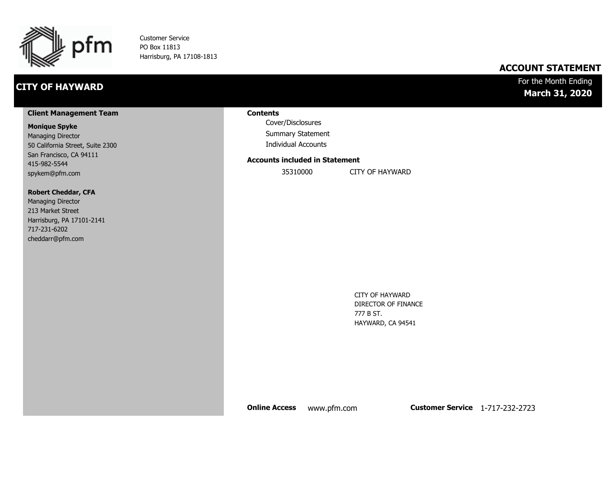

Customer Service PO Box 11813 Harrisburg, PA 17108-1813

## **CITY OF HAYWARD**

## **ACCOUNT STATEMENT**

## For the Month Ending **March 31, 2020**

#### **Client Management Team**

#### **Monique Spyke**

Managing Director 50 California Street, Suite 2300 San Francisco, CA 94111 415-982-5544 spykem@pfm.com

#### **Robert Cheddar, CFA**

| <b>Managing Director</b>  |
|---------------------------|
| 213 Market Street         |
| Harrisburg, PA 17101-2141 |
| 717-231-6202              |
| cheddarr@pfm.com          |

#### **Contents**

Cover/Disclosures Summary Statement Individual Accounts

#### **Accounts included in Statement**

35310000 CITY OF HAYWARD

CITY OF HAYWARD DIRECTOR OF FINANCE 777 B ST. HAYWARD, CA 94541

**Online Access** www.pfm.com **Customer Service** 1-717-232-2723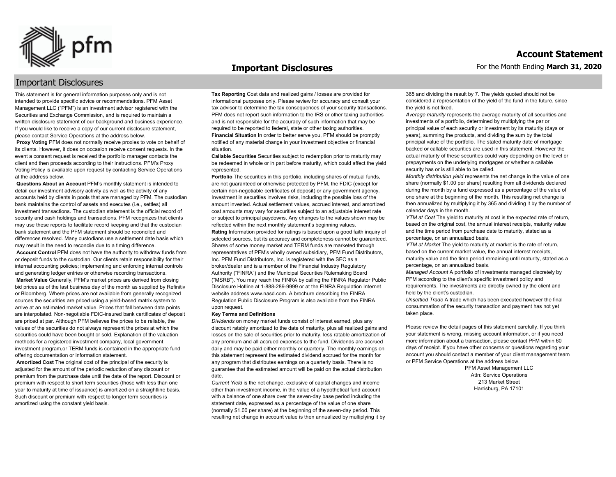

#### **Important Disclosures**

## Important Disclosures

This statement is for general information purposes only and is not intended to provide specific advice or recommendations. PFM Asset Management LLC ("PFM") is an investment advisor registered with the Securities and Exchange Commission, and is required to maintain a written disclosure statement of our background and business experience. If you would like to receive a copy of our current disclosure statement, please contact Service Operations at the address below.

**Proxy Voting** PFM does not normally receive proxies to vote on behalf of its clients. However, it does on occasion receive consent requests. In the event a consent request is received the portfolio manager contacts the client and then proceeds according to their instructions. PFM's Proxy Voting Policy is available upon request by contacting Service Operations at the address below.

**Questions About an Account** PFM's monthly statement is intended to detail our investment advisory activity as well as the activity of any accounts held by clients in pools that are managed by PFM. The custodian bank maintains the control of assets and executes (i.e., settles) all investment transactions. The custodian statement is the official record of security and cash holdings and transactions. PFM recognizes that clients may use these reports to facilitate record keeping and that the custodian bank statement and the PFM statement should be reconciled and differences resolved. Many custodians use a settlement date basis which may result in the need to reconcile due to a timing difference.

**Account Control** PFM does not have the authority to withdraw funds from or deposit funds to the custodian. Our clients retain responsibility for their internal accounting policies; implementing and enforcing internal controls and generating ledger entries or otherwise recording transactions.

**Market Value** Generally, PFM's market prices are derived from closing bid prices as of the last business day of the month as supplied by Refinitiv or Bloomberg. Where prices are not available from generally recognized sources the securities are priced using a yield-based matrix system to arrive at an estimated market value. Prices that fall between data points are interpolated. Non-negotiable FDIC-insured bank certificates of deposit are priced at par. Although PFM believes the prices to be reliable, the values of the securities do not always represent the prices at which the securities could have been bought or sold. Explanation of the valuation methods for a registered investment company, local government investment program,or TERM funds is contained in the appropriate fund offering documentation or information statement.

**Amortized Cost** The original cost of the principal of the security is adjusted for the amount of the periodic reduction of any discount or premium from the purchase date until the date of the report. Discount or premium with respect to short term securities (those with less than one year to maturity at time of issuance) is amortized on a straightline basis. Such discount or premium with respect to longer term securities is amortized using the constant yield basis.

**Tax Reporting** Cost data and realized gains / losses are provided for informational purposes only. Please review for accuracy and consult your tax advisor to determine the tax consequences of your security transactions. PFM does not report such information to the IRS or other taxing authorities and is not responsible for the accuracy of such information that may be required to be reported to federal, state or other taxing authorities. **Financial Situation** In order to better serve you, PFM should be promptly notified of any material change in your investment objective or financial situation.

**Callable Securities** Securities subject to redemption prior to maturity may be redeemed in whole or in part before maturity, which could affect the yield represented.

Portfolio The securities in this portfolio, including shares of mutual funds, are not guaranteed or otherwise protected by PFM, the FDIC (except for certain non-negotiable certificates of deposit) or any government agency. Investment in securities involves risks, including the possible loss of the amount invested. Actual settlement values, accrued interest, and amortized cost amounts may vary for securities subject to an adjustable interest rate or subject to principal paydowns. Any changes to the values shown may be reflected within the next monthly statement's beginning values. **Rating** Information provided for ratings is based upon a good faith inquiry of selected sources, but its accuracy and completeness cannot be guaranteed. Shares of some money market and TERM funds are marketed through representatives of PFM's wholly owned subsidiary, PFM Fund Distributors, Inc. PFM Fund Distributors, Inc. is registered with the SEC as a broker/dealer and is a member of the Financial Industry Regulatory Authority ("FINRA") and the Municipal Securities Rulemaking Board ("MSRB"). You may reach the FINRA by calling the FINRA Regulator Public Disclosure Hotline at 1-888-289-9999 or at the FINRA Regulation Internet website address www.nasd.com. A brochure describing the FINRA Regulation Public Disclosure Program is also available from the FINRA upon request.

#### **Key Terms and Definitions**

*Dividends* on money market funds consist of interest earned, plus any discount ratably amortized to the date of maturity, plus all realized gains and losses on the sale of securities prior to maturity, less ratable amortization of any premium and all accrued expenses to the fund. Dividends are accrued daily and may be paid either monthly or quarterly. The monthly earnings on this statement represent the estimated dividend accrued for the month for any program that distributes earnings on a quarterly basis. There is no guarantee that the estimated amount will be paid on the actual distribution date.

*Current Yield* is the net change, exclusive of capital changes and income other than investment income, in the value of a hypothetical fund account with a balance of one share over the seven-day base period including the statement date, expressed as a percentage of the value of one share (normally \$1.00 per share) at the beginning of the seven-day period. This resulting net change in account value is then annualized by multiplying it by 365 and dividing the result by 7. The yields quoted should not be considered a representation of the yield of the fund in the future, since the yield is not fixed.

*Average maturity* represents the average maturity of all securities and investments of a portfolio, determined by multiplying the par or principal value of each security or investment by its maturity (days or years), summing the products, and dividing the sum by the total principal value of the portfolio. The stated maturity date of mortgage backed or callable securities are used in this statement. However the actual maturity of these securities could vary depending on the level or prepayments on the underlying mortgages or whether a callable security has or is still able to be called.

*Monthly distribution yield* represents the net change in the value of one share (normally \$1.00 per share) resulting from all dividends declared during the month by a fund expressed as a percentage of the value of one share at the beginning of the month. This resulting net change is then annualized by multiplying it by 365 and dividing it by the number of calendar days in the month.

*YTM at Cost* The yield to maturity at cost is the expected rate of return, based on the original cost, the annual interest receipts, maturity value and the time period from purchase date to maturity, stated as a percentage, on an annualized basis.

*YTM at Market* The yield to maturity at market is the rate of return, based on the current market value, the annual interest receipts, maturity value and the time period remaining until maturity, stated as a percentage, on an annualized basis.

*Managed Account* A portfolio of investments managed discretely by PFM according to the client's specific investment policy and requirements. The investments are directly owned by the client and held by the client's custodian.

*Unsettled Trade* A trade which has been executed however the final consummation of the security transaction and payment has not yet taken place.

Please review the detail pages of this statement carefully. If you think your statement is wrong, missing account information, or if you need more information about a transaction, please contact PFM within 60 days of receipt. If you have other concerns or questions regarding your account you should contact a member of your client management team or PFM Service Operations at the address below.

> PFM Asset Management LLC Attn: Service Operations 213 Market Street Harrisburg, PA 17101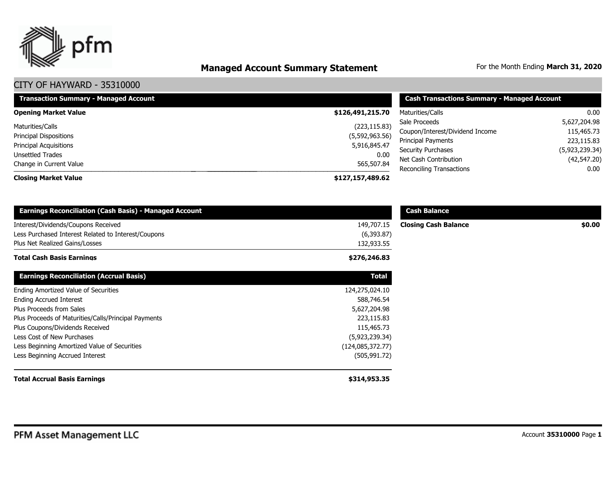

# **Managed Account Summary Statement** For the Month Ending March 31, 2020

| <b>Transaction Summary - Managed Account</b> | <b>Cash Transactions Summary - Managed Account</b> |                                 |                |  |
|----------------------------------------------|----------------------------------------------------|---------------------------------|----------------|--|
| <b>Opening Market Value</b>                  | \$126,491,215.70                                   | Maturities/Calls                | 0.00           |  |
| Maturities/Calls                             | (223, 115.83)                                      | Sale Proceeds                   | 5,627,204.98   |  |
| <b>Principal Dispositions</b>                | (5,592,963.56)                                     | Coupon/Interest/Dividend Income | 115,465.73     |  |
|                                              |                                                    | Principal Payments              | 223,115.83     |  |
| <b>Principal Acquisitions</b>                | 5,916,845.47                                       | <b>Security Purchases</b>       | (5,923,239.34) |  |
| <b>Unsettled Trades</b>                      | 0.00                                               | Net Cash Contribution           | (42,547.20)    |  |
| Change in Current Value                      | 565,507.84                                         | Reconciling Transactions        | $0.00\,$       |  |
| <b>Closing Market Value</b>                  | \$127,157,489.62                                   |                                 |                |  |

| <b>Earnings Reconciliation (Cash Basis) - Managed Account</b>                                                                |                                        | <b>Cash Balance</b>         |        |
|------------------------------------------------------------------------------------------------------------------------------|----------------------------------------|-----------------------------|--------|
| Interest/Dividends/Coupons Received<br>Less Purchased Interest Related to Interest/Coupons<br>Plus Net Realized Gains/Losses | 149,707.15<br>(6,393.87)<br>132,933.55 | <b>Closing Cash Balance</b> | \$0.00 |
| <b>Total Cash Basis Earnings</b>                                                                                             | \$276,246.83                           |                             |        |
| <b>Earnings Reconciliation (Accrual Basis)</b>                                                                               | <b>Total</b>                           |                             |        |
| Ending Amortized Value of Securities                                                                                         | 124,275,024.10                         |                             |        |
| <b>Ending Accrued Interest</b>                                                                                               | 588,746.54                             |                             |        |
| Plus Proceeds from Sales                                                                                                     | 5,627,204.98                           |                             |        |
| Plus Proceeds of Maturities/Calls/Principal Payments                                                                         | 223,115.83                             |                             |        |
| Plus Coupons/Dividends Received                                                                                              | 115,465.73                             |                             |        |
| Less Cost of New Purchases                                                                                                   | (5,923,239.34)                         |                             |        |
| Less Beginning Amortized Value of Securities                                                                                 | (124, 085, 372.77)                     |                             |        |
| Less Beginning Accrued Interest                                                                                              | (505, 991.72)                          |                             |        |
| <b>Total Accrual Basis Earnings</b>                                                                                          | \$314,953.35                           |                             |        |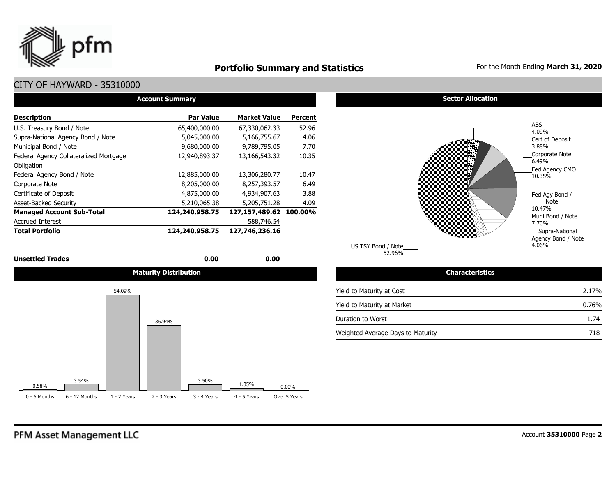

## **Portfolio Summary and Statistics** For the Month Ending March 31, 2020

## CITY OF HAYWARD - 35310000

| <b>Account Summary</b>                 |                  |                        |                |  |  |  |  |  |  |  |  |  |
|----------------------------------------|------------------|------------------------|----------------|--|--|--|--|--|--|--|--|--|
| <b>Description</b>                     | <b>Par Value</b> | <b>Market Value</b>    | <b>Percent</b> |  |  |  |  |  |  |  |  |  |
| U.S. Treasury Bond / Note              | 65,400,000.00    | 67,330,062,33          | 52.96          |  |  |  |  |  |  |  |  |  |
| Supra-National Agency Bond / Note      | 5,045,000.00     | 5,166,755.67           | 4.06           |  |  |  |  |  |  |  |  |  |
| Municipal Bond / Note                  | 9,680,000.00     | 9,789,795.05           | 7.70           |  |  |  |  |  |  |  |  |  |
| Federal Agency Collateralized Mortgage | 12,940,893.37    | 13,166,543.32          | 10.35          |  |  |  |  |  |  |  |  |  |
| Obligation                             |                  |                        |                |  |  |  |  |  |  |  |  |  |
| Federal Agency Bond / Note             | 12,885,000.00    | 13,306,280.77          | 10.47          |  |  |  |  |  |  |  |  |  |
| Corporate Note                         | 8,205,000.00     | 8,257,393.57           | 6.49           |  |  |  |  |  |  |  |  |  |
| Certificate of Deposit                 | 4,875,000.00     | 4,934,907.63           | 3.88           |  |  |  |  |  |  |  |  |  |
| <b>Asset-Backed Security</b>           | 5,210,065.38     | 5,205,751.28           | 4.09           |  |  |  |  |  |  |  |  |  |
| <b>Managed Account Sub-Total</b>       | 124,240,958.75   | 127,157,489.62 100.00% |                |  |  |  |  |  |  |  |  |  |
| <b>Accrued Interest</b>                |                  | 588,746.54             |                |  |  |  |  |  |  |  |  |  |
| <b>Total Portfolio</b>                 | 124,240,958.75   | 127.746.236.16         |                |  |  |  |  |  |  |  |  |  |

#### **Unsettled Trades 0.00 0.00**





0 - 6 Months 6 - 12 Months 1 - 2 Years 2 - 3 Years 3 - 4 Years 4 - 5 Years Over 5 Years

#### **Sector Allocation**



52.96% US TSY Bond / Note

#### Yield to Maturity at Cost Yield to Maturity at Market Duration to Worst Weighted Average Days to Maturity 1.74 718 2.17% 0.76%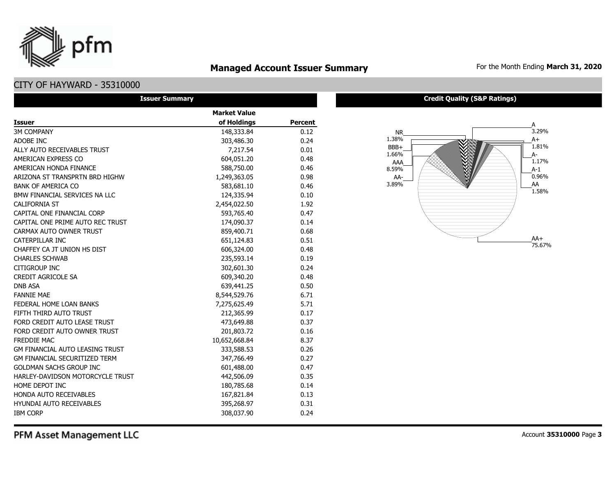## **Managed Account Issuer Summary** For the Month Ending March 31, 2020

## CITY OF HAYWARD - 35310000

pfm

| <b>Issuer Summary</b>                  |                     |                |
|----------------------------------------|---------------------|----------------|
|                                        | <b>Market Value</b> |                |
| <b>Issuer</b>                          | of Holdings         | <b>Percent</b> |
| <b>3M COMPANY</b>                      | 148,333.84          | 0.12           |
| ADOBE INC                              | 303,486.30          | 0.24           |
| ALLY AUTO RECEIVABLES TRUST            | 7,217.54            | 0.01           |
| AMERICAN EXPRESS CO                    | 604,051.20          | 0.48           |
| AMERICAN HONDA FINANCE                 | 588,750.00          | 0.46           |
| ARIZONA ST TRANSPRTN BRD HIGHW         | 1,249,363.05        | 0.98           |
| <b>BANK OF AMERICA CO</b>              | 583,681.10          | 0.46           |
| BMW FINANCIAL SERVICES NA LLC          | 124,335.94          | 0.10           |
| <b>CALIFORNIA ST</b>                   | 2,454,022.50        | 1.92           |
| CAPITAL ONE FINANCIAL CORP             | 593,765.40          | 0.47           |
| CAPITAL ONE PRIME AUTO REC TRUST       | 174,090.37          | 0.14           |
| CARMAX AUTO OWNER TRUST                | 859,400.71          | 0.68           |
| CATERPILLAR INC                        | 651,124.83          | 0.51           |
| CHAFFEY CA JT UNION HS DIST            | 606,324.00          | 0.48           |
| <b>CHARLES SCHWAB</b>                  | 235,593.14          | 0.19           |
| CITIGROUP INC                          | 302,601.30          | 0.24           |
| <b>CREDIT AGRICOLE SA</b>              | 609,340.20          | 0.48           |
| <b>DNB ASA</b>                         | 639,441.25          | 0.50           |
| <b>FANNIE MAE</b>                      | 8,544,529.76        | 6.71           |
| FEDERAL HOME LOAN BANKS                | 7,275,625.49        | 5.71           |
| FIFTH THIRD AUTO TRUST                 | 212,365.99          | 0.17           |
| FORD CREDIT AUTO LEASE TRUST           | 473,649.88          | 0.37           |
| FORD CREDIT AUTO OWNER TRUST           | 201,803.72          | 0.16           |
| <b>FREDDIE MAC</b>                     | 10,652,668.84       | 8.37           |
| <b>GM FINANCIAL AUTO LEASING TRUST</b> | 333,588.53          | 0.26           |
| <b>GM FINANCIAL SECURITIZED TERM</b>   | 347,766.49          | 0.27           |
| <b>GOLDMAN SACHS GROUP INC</b>         | 601,488.00          | 0.47           |
| HARLEY-DAVIDSON MOTORCYCLE TRUST       | 442,506.09          | 0.35           |
| HOME DEPOT INC                         | 180,785.68          | 0.14           |
| <b>HONDA AUTO RECEIVABLES</b>          | 167,821.84          | 0.13           |
| <b>HYUNDAI AUTO RECEIVABLES</b>        | 395,268.97          | 0.31           |
| <b>IBM CORP</b>                        | 308,037.90          | 0.24           |

#### **Credit Quality (S&P Ratings)**



PFM Asset Management LLC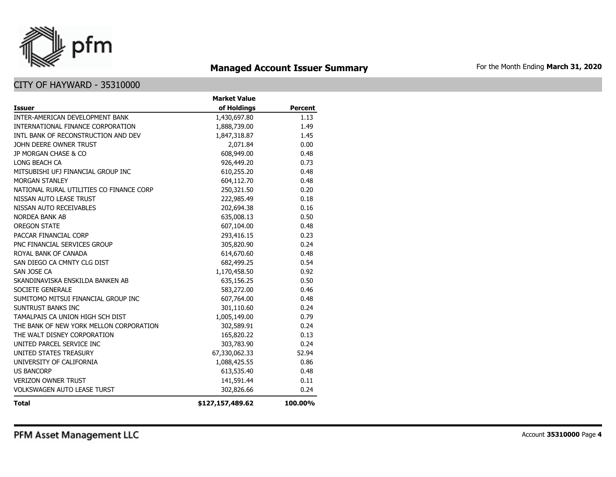

# **Managed Account Issuer Summary** For the Month Ending March 31, 2020

|                                          | <b>Market Value</b> |                |
|------------------------------------------|---------------------|----------------|
| <b>Issuer</b>                            | of Holdings         | <b>Percent</b> |
| INTER-AMERICAN DEVELOPMENT BANK          | 1,430,697.80        | 1.13           |
| INTERNATIONAL FINANCE CORPORATION        | 1,888,739.00        | 1.49           |
| INTL BANK OF RECONSTRUCTION AND DEV      | 1,847,318.87        | 1.45           |
| JOHN DEERE OWNER TRUST                   | 2,071.84            | 0.00           |
| <b>JP MORGAN CHASE &amp; CO</b>          | 608,949.00          | 0.48           |
| LONG BEACH CA                            | 926,449.20          | 0.73           |
| MITSUBISHI UFJ FINANCIAL GROUP INC       | 610,255.20          | 0.48           |
| <b>MORGAN STANLEY</b>                    | 604,112.70          | 0.48           |
| NATIONAL RURAL UTILITIES CO FINANCE CORP | 250,321.50          | 0.20           |
| NISSAN AUTO LEASE TRUST                  | 222,985.49          | 0.18           |
| NISSAN AUTO RECEIVABLES                  | 202,694.38          | 0.16           |
| <b>NORDEA BANK AB</b>                    | 635,008.13          | 0.50           |
| <b>OREGON STATE</b>                      | 607,104.00          | 0.48           |
| PACCAR FINANCIAL CORP                    | 293,416.15          | 0.23           |
| PNC FINANCIAL SERVICES GROUP             | 305,820.90          | 0.24           |
| ROYAL BANK OF CANADA                     | 614,670.60          | 0.48           |
| SAN DIEGO CA CMNTY CLG DIST              | 682,499.25          | 0.54           |
| SAN JOSE CA                              | 1,170,458.50        | 0.92           |
| SKANDINAVISKA ENSKILDA BANKEN AB         | 635,156.25          | 0.50           |
| SOCIETE GENERALE                         | 583,272.00          | 0.46           |
| SUMITOMO MITSUI FINANCIAL GROUP INC      | 607,764.00          | 0.48           |
| SUNTRUST BANKS INC                       | 301,110.60          | 0.24           |
| TAMALPAIS CA UNION HIGH SCH DIST         | 1,005,149.00        | 0.79           |
| THE BANK OF NEW YORK MELLON CORPORATION  | 302,589.91          | 0.24           |
| THE WALT DISNEY CORPORATION              | 165,820.22          | 0.13           |
| UNITED PARCEL SERVICE INC                | 303,783.90          | 0.24           |
| UNITED STATES TREASURY                   | 67,330,062.33       | 52.94          |
| UNIVERSITY OF CALIFORNIA                 | 1,088,425.55        | 0.86           |
| <b>US BANCORP</b>                        | 613,535.40          | 0.48           |
| <b>VERIZON OWNER TRUST</b>               | 141,591.44          | 0.11           |
| <b>VOLKSWAGEN AUTO LEASE TURST</b>       | 302,826.66          | 0.24           |
| Total                                    | \$127,157,489.62    | 100.00%        |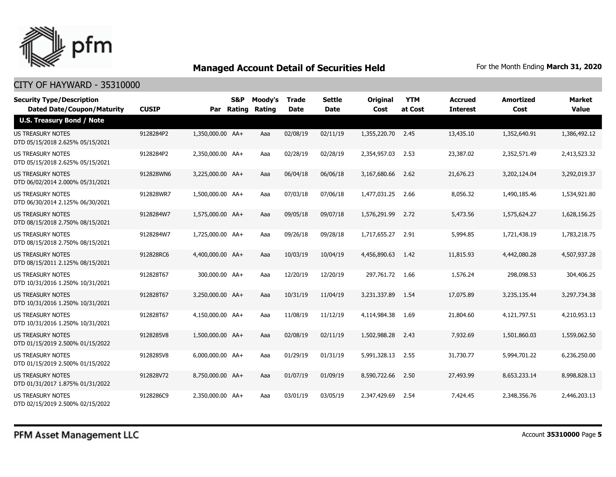

| <b>Security Type/Description</b><br><b>Dated Date/Coupon/Maturity</b> | <b>CUSIP</b> | Par              | S&P<br><b>Rating</b> | Moody's<br>Rating | <b>Trade</b><br><b>Date</b> | <b>Settle</b><br><b>Date</b> | <b>Original</b><br>Cost | <b>YTM</b><br>at Cost | <b>Accrued</b><br><b>Interest</b> | <b>Amortized</b><br>Cost | <b>Market</b><br><b>Value</b> |
|-----------------------------------------------------------------------|--------------|------------------|----------------------|-------------------|-----------------------------|------------------------------|-------------------------|-----------------------|-----------------------------------|--------------------------|-------------------------------|
| <b>U.S. Treasury Bond / Note</b>                                      |              |                  |                      |                   |                             |                              |                         |                       |                                   |                          |                               |
| <b>US TREASURY NOTES</b><br>DTD 05/15/2018 2.625% 05/15/2021          | 9128284P2    | 1,350,000.00 AA+ |                      | Aaa               | 02/08/19                    | 02/11/19                     | 1,355,220.70            | 2.45                  | 13,435.10                         | 1,352,640.91             | 1,386,492.12                  |
| US TREASURY NOTES<br>DTD 05/15/2018 2.625% 05/15/2021                 | 9128284P2    | 2,350,000.00 AA+ |                      | Aaa               | 02/28/19                    | 02/28/19                     | 2,354,957.03            | 2.53                  | 23,387.02                         | 2,352,571.49             | 2,413,523.32                  |
| <b>US TREASURY NOTES</b><br>DTD 06/02/2014 2.000% 05/31/2021          | 912828WN6    | 3,225,000.00 AA+ |                      | Aaa               | 06/04/18                    | 06/06/18                     | 3,167,680.66            | 2.62                  | 21,676.23                         | 3,202,124.04             | 3,292,019.37                  |
| <b>US TREASURY NOTES</b><br>DTD 06/30/2014 2.125% 06/30/2021          | 912828WR7    | 1,500,000,00 AA+ |                      | Aaa               | 07/03/18                    | 07/06/18                     | 1,477,031.25            | 2.66                  | 8,056.32                          | 1,490,185.46             | 1,534,921.80                  |
| <b>US TREASURY NOTES</b><br>DTD 08/15/2018 2.750% 08/15/2021          | 9128284W7    | 1,575,000.00 AA+ |                      | Aaa               | 09/05/18                    | 09/07/18                     | 1,576,291.99            | 2.72                  | 5,473.56                          | 1,575,624.27             | 1,628,156.25                  |
| <b>US TREASURY NOTES</b><br>DTD 08/15/2018 2.750% 08/15/2021          | 9128284W7    | 1,725,000.00 AA+ |                      | Aaa               | 09/26/18                    | 09/28/18                     | 1,717,655.27            | 2.91                  | 5,994.85                          | 1,721,438.19             | 1,783,218.75                  |
| US TREASURY NOTES<br>DTD 08/15/2011 2.125% 08/15/2021                 | 912828RC6    | 4,400,000.00 AA+ |                      | Aaa               | 10/03/19                    | 10/04/19                     | 4,456,890.63            | 1.42                  | 11,815.93                         | 4,442,080.28             | 4,507,937,28                  |
| US TREASURY NOTES<br>DTD 10/31/2016 1.250% 10/31/2021                 | 912828T67    | 300,000.00 AA+   |                      | Aaa               | 12/20/19                    | 12/20/19                     | 297,761.72 1.66         |                       | 1,576.24                          | 298,098.53               | 304,406.25                    |
| US TREASURY NOTES<br>DTD 10/31/2016 1.250% 10/31/2021                 | 912828T67    | 3,250,000.00 AA+ |                      | Aaa               | 10/31/19                    | 11/04/19                     | 3,231,337.89            | - 1.54                | 17,075.89                         | 3,235,135.44             | 3,297,734.38                  |
| <b>US TREASURY NOTES</b><br>DTD 10/31/2016 1.250% 10/31/2021          | 912828T67    | 4,150,000.00 AA+ |                      | Aaa               | 11/08/19                    | 11/12/19                     | 4,114,984.38            | 1.69                  | 21,804.60                         | 4,121,797.51             | 4,210,953.13                  |
| US TREASURY NOTES<br>DTD 01/15/2019 2.500% 01/15/2022                 | 9128285V8    | 1,500,000.00 AA+ |                      | Aaa               | 02/08/19                    | 02/11/19                     | 1,502,988.28            | 2.43                  | 7,932.69                          | 1,501,860.03             | 1,559,062.50                  |
| US TREASURY NOTES<br>DTD 01/15/2019 2.500% 01/15/2022                 | 9128285V8    | 6,000,000.00 AA+ |                      | Aaa               | 01/29/19                    | 01/31/19                     | 5,991,328.13            | 2.55                  | 31,730.77                         | 5,994,701.22             | 6,236,250.00                  |
| <b>US TREASURY NOTES</b><br>DTD 01/31/2017 1.875% 01/31/2022          | 912828V72    | 8,750,000.00 AA+ |                      | Aaa               | 01/07/19                    | 01/09/19                     | 8,590,722,66            | 2.50                  | 27,493.99                         | 8,653,233,14             | 8,998,828.13                  |
| <b>US TREASURY NOTES</b><br>DTD 02/15/2019 2.500% 02/15/2022          | 9128286C9    | 2,350,000.00 AA+ |                      | Aaa               | 03/01/19                    | 03/05/19                     | 2.347,429.69            | 2.54                  | 7,424.45                          | 2,348,356,76             | 2,446,203.13                  |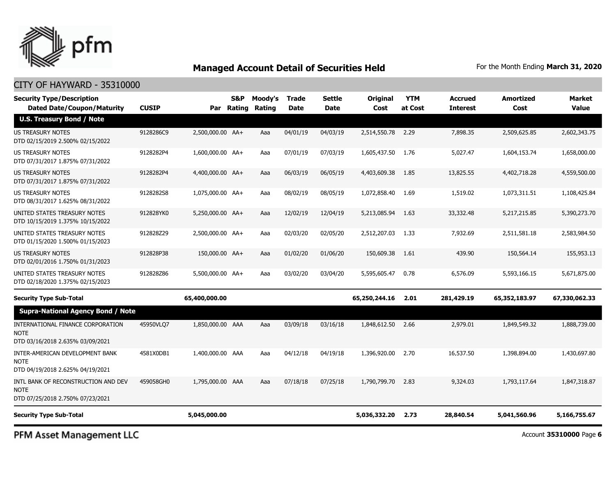

## CITY OF HAYWARD - 35310000

| <b>Security Type/Description</b><br><b>Dated Date/Coupon/Maturity</b>                  | <b>CUSIP</b> |                  | <b>S&amp;P</b><br>Par Rating | Moody's<br>Rating | Trade<br>Date | Settle<br>Date | <b>Original</b><br><b>Cost</b> | <b>YTM</b><br>at Cost | <b>Accrued</b><br><b>Interest</b> | <b>Amortized</b><br>Cost | Market<br>Value |
|----------------------------------------------------------------------------------------|--------------|------------------|------------------------------|-------------------|---------------|----------------|--------------------------------|-----------------------|-----------------------------------|--------------------------|-----------------|
| <b>U.S. Treasury Bond / Note</b>                                                       |              |                  |                              |                   |               |                |                                |                       |                                   |                          |                 |
| <b>US TREASURY NOTES</b><br>DTD 02/15/2019 2.500% 02/15/2022                           | 9128286C9    | 2,500,000.00 AA+ |                              | Aaa               | 04/01/19      | 04/03/19       | 2,514,550.78                   | 2.29                  | 7,898.35                          | 2,509,625.85             | 2,602,343.75    |
| US TREASURY NOTES<br>DTD 07/31/2017 1.875% 07/31/2022                                  | 9128282P4    | 1,600,000.00 AA+ |                              | Aaa               | 07/01/19      | 07/03/19       | 1,605,437.50                   | 1.76                  | 5,027.47                          | 1,604,153.74             | 1,658,000.00    |
| <b>US TREASURY NOTES</b><br>DTD 07/31/2017 1.875% 07/31/2022                           | 9128282P4    | 4,400,000.00 AA+ |                              | Aaa               | 06/03/19      | 06/05/19       | 4,403,609.38                   | 1.85                  | 13,825.55                         | 4,402,718.28             | 4,559,500.00    |
| <b>US TREASURY NOTES</b><br>DTD 08/31/2017 1.625% 08/31/2022                           | 9128282S8    | 1,075,000.00 AA+ |                              | Aaa               | 08/02/19      | 08/05/19       | 1,072,858.40                   | 1.69                  | 1,519.02                          | 1,073,311.51             | 1,108,425.84    |
| UNITED STATES TREASURY NOTES<br>DTD 10/15/2019 1.375% 10/15/2022                       | 912828YK0    | 5,250,000.00 AA+ |                              | Aaa               | 12/02/19      | 12/04/19       | 5,213,085.94                   | 1.63                  | 33,332.48                         | 5,217,215.85             | 5,390,273.70    |
| UNITED STATES TREASURY NOTES<br>DTD 01/15/2020 1.500% 01/15/2023                       | 912828Z29    | 2,500,000.00 AA+ |                              | Aaa               | 02/03/20      | 02/05/20       | 2,512,207.03                   | 1.33                  | 7,932.69                          | 2,511,581.18             | 2,583,984.50    |
| <b>US TREASURY NOTES</b><br>DTD 02/01/2016 1.750% 01/31/2023                           | 912828P38    | 150,000.00 AA+   |                              | Aaa               | 01/02/20      | 01/06/20       | 150,609.38                     | 1.61                  | 439.90                            | 150,564.14               | 155,953.13      |
| UNITED STATES TREASURY NOTES<br>DTD 02/18/2020 1.375% 02/15/2023                       | 912828Z86    | 5,500,000.00 AA+ |                              | Aaa               | 03/02/20      | 03/04/20       | 5,595,605.47                   | 0.78                  | 6,576.09                          | 5,593,166.15             | 5,671,875.00    |
| <b>Security Type Sub-Total</b>                                                         |              | 65,400,000.00    |                              |                   |               |                | 65,250,244.16                  | 2.01                  | 281,429.19                        | 65,352,183.97            | 67,330,062.33   |
| <b>Supra-National Agency Bond / Note</b>                                               |              |                  |                              |                   |               |                |                                |                       |                                   |                          |                 |
| INTERNATIONAL FINANCE CORPORATION<br><b>NOTE</b><br>DTD 03/16/2018 2.635% 03/09/2021   | 45950VLO7    | 1,850,000.00 AAA |                              | Aaa               | 03/09/18      | 03/16/18       | 1,848,612.50                   | 2.66                  | 2,979.01                          | 1,849,549.32             | 1,888,739,00    |
| INTER-AMERICAN DEVELOPMENT BANK<br><b>NOTE</b><br>DTD 04/19/2018 2.625% 04/19/2021     | 4581X0DB1    | 1,400,000.00 AAA |                              | Aaa               | 04/12/18      | 04/19/18       | 1,396,920.00                   | 2.70                  | 16,537.50                         | 1,398,894.00             | 1,430,697.80    |
| INTL BANK OF RECONSTRUCTION AND DEV<br><b>NOTE</b><br>DTD 07/25/2018 2.750% 07/23/2021 | 459058GH0    | 1,795,000.00 AAA |                              | Aaa               | 07/18/18      | 07/25/18       | 1,790,799.70                   | 2.83                  | 9,324.03                          | 1,793,117.64             | 1,847,318.87    |
| <b>Security Type Sub-Total</b>                                                         |              | 5,045,000.00     |                              |                   |               |                | 5,036,332.20                   | 2.73                  | 28,840.54                         | 5,041,560.96             | 5,166,755.67    |

PFM Asset Management LLC

Account **35310000** Page **6**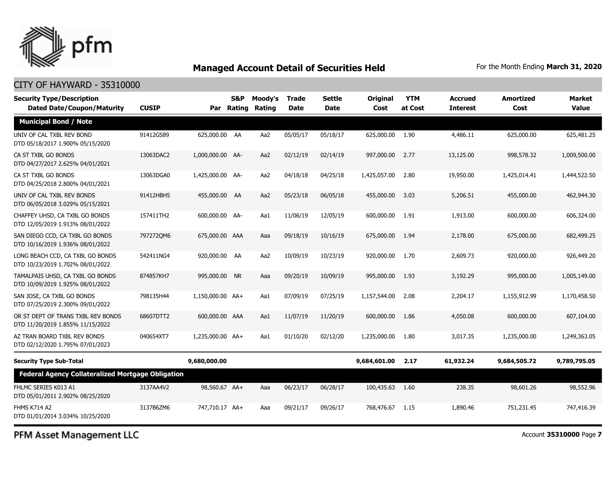

## CITY OF HAYWARD - 35310000

| <b>Security Type/Description</b><br><b>Dated Date/Coupon/Maturity</b>  | <b>CUSIP</b> |                  | S&P<br>Par Rating | Moody's<br>Rating | <b>Trade</b><br><b>Date</b> | <b>Settle</b><br>Date | <b>Original</b><br>Cost | <b>YTM</b><br>at Cost | <b>Accrued</b><br><b>Interest</b> | <b>Amortized</b><br>Cost | Market<br><b>Value</b> |
|------------------------------------------------------------------------|--------------|------------------|-------------------|-------------------|-----------------------------|-----------------------|-------------------------|-----------------------|-----------------------------------|--------------------------|------------------------|
| <b>Municipal Bond / Note</b>                                           |              |                  |                   |                   |                             |                       |                         |                       |                                   |                          |                        |
| UNIV OF CAL TXBL REV BOND<br>DTD 05/18/2017 1.900% 05/15/2020          | 91412GS89    | 625,000.00 AA    |                   | Aa2               | 05/05/17                    | 05/18/17              | 625,000.00              | 1.90                  | 4,486.11                          | 625,000.00               | 625,481.25             |
| CA ST TXBL GO BONDS<br>DTD 04/27/2017 2.625% 04/01/2021                | 13063DAC2    | 1,000,000.00 AA- |                   | Aa2               | 02/12/19                    | 02/14/19              | 997,000.00              | 2.77                  | 13,125.00                         | 998,578.32               | 1,009,500.00           |
| CA ST TXBL GO BONDS<br>DTD 04/25/2018 2.800% 04/01/2021                | 13063DGA0    | 1,425,000.00 AA- |                   | Aa2               | 04/18/18                    | 04/25/18              | 1,425,057.00            | 2.80                  | 19,950.00                         | 1,425,014.41             | 1,444,522.50           |
| UNIV OF CAL TXBL REV BONDS<br>DTD 06/05/2018 3.029% 05/15/2021         | 91412HBH5    | 455,000.00 AA    |                   | Aa2               | 05/23/18                    | 06/05/18              | 455,000,00              | 3.03                  | 5,206.51                          | 455,000.00               | 462,944.30             |
| CHAFFEY UHSD, CA TXBL GO BONDS<br>DTD 12/05/2019 1.913% 08/01/2022     | 157411TH2    | 600,000.00 AA-   |                   | Aa1               | 11/06/19                    | 12/05/19              | 600,000.00              | 1.91                  | 1,913.00                          | 600,000.00               | 606,324.00             |
| SAN DIEGO CCD, CA TXBL GO BONDS<br>DTD 10/16/2019 1.936% 08/01/2022    | 7972720M6    | 675,000.00 AAA   |                   | Aaa               | 09/18/19                    | 10/16/19              | 675,000.00              | 1.94                  | 2,178.00                          | 675,000.00               | 682,499.25             |
| LONG BEACH CCD, CA TXBL GO BONDS<br>DTD 10/23/2019 1.702% 08/01/2022   | 542411NG4    | 920,000.00 AA    |                   | Aa2               | 10/09/19                    | 10/23/19              | 920,000.00              | 1.70                  | 2,609.73                          | 920,000.00               | 926,449.20             |
| TAMALPAIS UHSD, CA TXBL GO BONDS<br>DTD 10/09/2019 1.925% 08/01/2022   | 874857KH7    | 995,000.00 NR    |                   | Aaa               | 09/20/19                    | 10/09/19              | 995,000.00              | 1.93                  | 3,192.29                          | 995,000.00               | 1,005,149.00           |
| SAN JOSE, CA TXBL GO BONDS<br>DTD 07/25/2019 2.300% 09/01/2022         | 798135H44    | 1,150,000.00 AA+ |                   | Aa1               | 07/09/19                    | 07/25/19              | 1,157,544.00            | 2.08                  | 2,204.17                          | 1,155,912.99             | 1,170,458.50           |
| OR ST DEPT OF TRANS TXBL REV BONDS<br>DTD 11/20/2019 1.855% 11/15/2022 | 68607DTT2    | 600,000.00 AAA   |                   | Aa1               | 11/07/19                    | 11/20/19              | 600,000.00              | 1.86                  | 4,050.08                          | 600,000.00               | 607,104.00             |
| AZ TRAN BOARD TXBL REV BONDS<br>DTD 02/12/2020 1.795% 07/01/2023       | 040654XT7    | 1,235,000.00 AA+ |                   | Aa1               | 01/10/20                    | 02/12/20              | 1,235,000.00            | 1.80                  | 3,017.35                          | 1,235,000.00             | 1,249,363.05           |
| <b>Security Type Sub-Total</b>                                         |              | 9,680,000.00     |                   |                   |                             |                       | 9,684,601.00            | 2.17                  | 61,932.24                         | 9,684,505.72             | 9,789,795.05           |
| <b>Federal Agency Collateralized Mortgage Obligation</b>               |              |                  |                   |                   |                             |                       |                         |                       |                                   |                          |                        |
| FHLMC SERIES K013 A1<br>DTD 05/01/2011 2.902% 08/25/2020               | 3137AA4V2    | 98,560.67 AA+    |                   | Aaa               | 06/23/17                    | 06/28/17              | 100,435.63              | 1.60                  | 238.35                            | 98,601.26                | 98,552.96              |
| <b>FHMS K714 A2</b><br>DTD 01/01/2014 3.034% 10/25/2020                | 3137B6ZM6    | 747,710.17 AA+   |                   | Aaa               | 09/21/17                    | 09/26/17              | 768,476.67              | 1.15                  | 1,890.46                          | 751,231.45               | 747,416.39             |

PFM Asset Management LLC

Account **35310000** Page **7**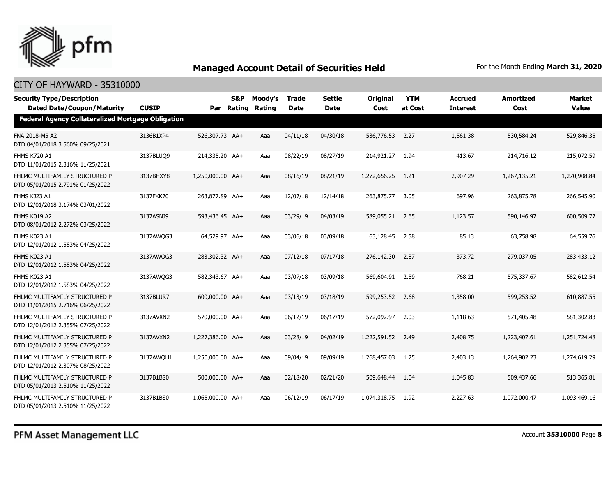

| <b>Security Type/Description</b><br><b>Dated Date/Coupon/Maturity</b> | <b>CUSIP</b> |                  | S&P | Moody's<br>Par Rating Rating | Trade<br><b>Date</b> | <b>Settle</b><br><b>Date</b> | <b>Original</b><br>Cost | <b>YTM</b><br>at Cost | <b>Accrued</b><br><b>Interest</b> | <b>Amortized</b><br>Cost | <b>Market</b><br><b>Value</b> |
|-----------------------------------------------------------------------|--------------|------------------|-----|------------------------------|----------------------|------------------------------|-------------------------|-----------------------|-----------------------------------|--------------------------|-------------------------------|
| Federal Agency Collateralized Mortgage Obligation                     |              |                  |     |                              |                      |                              |                         |                       |                                   |                          |                               |
| FNA 2018-M5 A2<br>DTD 04/01/2018 3.560% 09/25/2021                    | 3136B1XP4    | 526,307.73 AA+   |     | Aaa                          | 04/11/18             | 04/30/18                     | 536,776.53              | 2.27                  | 1,561.38                          | 530,584.24               | 529,846.35                    |
| FHMS K720 A1<br>DTD 11/01/2015 2.316% 11/25/2021                      | 3137BLUO9    | 214,335.20 AA+   |     | Aaa                          | 08/22/19             | 08/27/19                     | 214,921.27              | 1.94                  | 413.67                            | 214,716.12               | 215,072.59                    |
| FHLMC MULTIFAMILY STRUCTURED P<br>DTD 05/01/2015 2.791% 01/25/2022    | 3137BHXY8    | 1,250,000.00 AA+ |     | Aaa                          | 08/16/19             | 08/21/19                     | 1,272,656.25            | 1.21                  | 2,907.29                          | 1,267,135.21             | 1,270,908.84                  |
| FHMS KJ23 A1<br>DTD 12/01/2018 3.174% 03/01/2022                      | 3137FKK70    | 263,877.89 AA+   |     | Aaa                          | 12/07/18             | 12/14/18                     | 263,875.77              | 3.05                  | 697.96                            | 263,875.78               | 266,545.90                    |
| FHMS K019 A2<br>DTD 08/01/2012 2.272% 03/25/2022                      | 3137ASNJ9    | 593,436.45 AA+   |     | Aaa                          | 03/29/19             | 04/03/19                     | 589,055.21              | 2.65                  | 1,123.57                          | 590,146.97               | 600,509.77                    |
| FHMS K023 A1<br>DTD 12/01/2012 1.583% 04/25/2022                      | 3137AWQG3    | 64,529.97 AA+    |     | Aaa                          | 03/06/18             | 03/09/18                     | 63,128.45               | 2.58                  | 85.13                             | 63,758.98                | 64,559.76                     |
| FHMS K023 A1<br>DTD 12/01/2012 1.583% 04/25/2022                      | 3137AWQG3    | 283,302.32 AA+   |     | Aaa                          | 07/12/18             | 07/17/18                     | 276,142.30              | 2.87                  | 373.72                            | 279,037.05               | 283,433.12                    |
| FHMS K023 A1<br>DTD 12/01/2012 1.583% 04/25/2022                      | 3137AWQG3    | 582,343.67 AA+   |     | Aaa                          | 03/07/18             | 03/09/18                     | 569,604.91              | 2.59                  | 768.21                            | 575,337.67               | 582,612.54                    |
| FHLMC MULTIFAMILY STRUCTURED P<br>DTD 11/01/2015 2.716% 06/25/2022    | 3137BLUR7    | 600,000.00 AA+   |     | Aaa                          | 03/13/19             | 03/18/19                     | 599,253.52              | 2.68                  | 1,358.00                          | 599,253.52               | 610,887.55                    |
| FHLMC MULTIFAMILY STRUCTURED P<br>DTD 12/01/2012 2.355% 07/25/2022    | 3137AVXN2    | 570,000.00 AA+   |     | Aaa                          | 06/12/19             | 06/17/19                     | 572,092.97              | 2.03                  | 1,118.63                          | 571,405.48               | 581,302.83                    |
| FHLMC MULTIFAMILY STRUCTURED P<br>DTD 12/01/2012 2.355% 07/25/2022    | 3137AVXN2    | 1,227,386.00 AA+ |     | Aaa                          | 03/28/19             | 04/02/19                     | 1,222,591.52            | 2.49                  | 2,408.75                          | 1,223,407.61             | 1,251,724.48                  |
| FHLMC MULTIFAMILY STRUCTURED P<br>DTD 12/01/2012 2.307% 08/25/2022    | 3137AWOH1    | 1,250,000.00 AA+ |     | Aaa                          | 09/04/19             | 09/09/19                     | 1,268,457.03            | 1.25                  | 2,403.13                          | 1,264,902.23             | 1,274,619.29                  |
| FHLMC MULTIFAMILY STRUCTURED P<br>DTD 05/01/2013 2.510% 11/25/2022    | 3137B1BS0    | 500,000.00 AA+   |     | Aaa                          | 02/18/20             | 02/21/20                     | 509,648.44              | 1.04                  | 1,045.83                          | 509,437.66               | 513,365.81                    |
| FHLMC MULTIFAMILY STRUCTURED P<br>DTD 05/01/2013 2.510% 11/25/2022    | 3137B1BS0    | 1,065,000.00 AA+ |     | Aaa                          | 06/12/19             | 06/17/19                     | 1,074,318.75            | 1.92                  | 2,227.63                          | 1,072,000.47             | 1,093,469.16                  |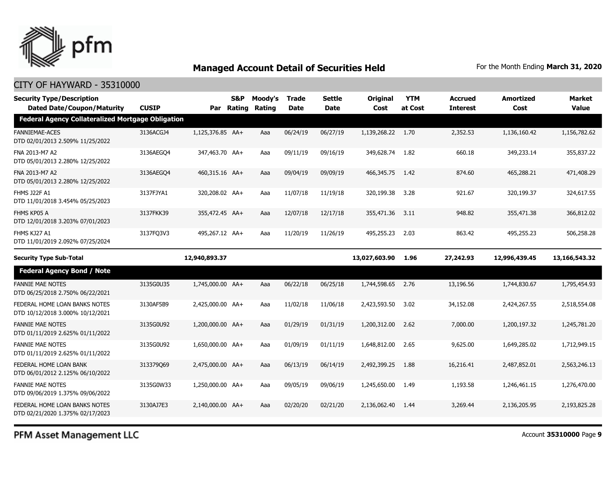

| <b>Security Type/Description</b><br><b>Dated Date/Coupon/Maturity</b> | <b>CUSIP</b> |                  | S&P<br>Par Rating | Moody's<br>Rating | <b>Trade</b><br><b>Date</b> | Settle<br><b>Date</b> | <b>Original</b><br>Cost | <b>YTM</b><br>at Cost | <b>Accrued</b><br><b>Interest</b> | <b>Amortized</b><br>Cost | <b>Market</b><br><b>Value</b> |
|-----------------------------------------------------------------------|--------------|------------------|-------------------|-------------------|-----------------------------|-----------------------|-------------------------|-----------------------|-----------------------------------|--------------------------|-------------------------------|
| <b>Federal Agency Collateralized Mortgage Obligation</b>              |              |                  |                   |                   |                             |                       |                         |                       |                                   |                          |                               |
| <b>FANNIEMAE-ACES</b><br>DTD 02/01/2013 2.509% 11/25/2022             | 3136ACGJ4    | 1.125.376.85 AA+ |                   | Aaa               | 06/24/19                    | 06/27/19              | 1,139,268.22            | 1.70                  | 2,352.53                          | 1,136,160.42             | 1,156,782.62                  |
| FNA 2013-M7 A2<br>DTD 05/01/2013 2.280% 12/25/2022                    | 3136AEGO4    | 347,463.70 AA+   |                   | Aaa               | 09/11/19                    | 09/16/19              | 349,628.74              | 1.82                  | 660.18                            | 349,233.14               | 355,837.22                    |
| FNA 2013-M7 A2<br>DTD 05/01/2013 2.280% 12/25/2022                    | 3136AEGO4    | 460,315.16 AA+   |                   | Aaa               | 09/04/19                    | 09/09/19              | 466,345.75              | 1.42                  | 874.60                            | 465,288.21               | 471,408.29                    |
| FHMS J22F A1<br>DTD 11/01/2018 3.454% 05/25/2023                      | 3137FJYA1    | 320,208.02 AA+   |                   | Aaa               | 11/07/18                    | 11/19/18              | 320,199.38              | 3.28                  | 921.67                            | 320,199.37               | 324,617.55                    |
| FHMS KP05 A<br>DTD 12/01/2018 3.203% 07/01/2023                       | 3137FKK39    | 355,472.45 AA+   |                   | Aaa               | 12/07/18                    | 12/17/18              | 355,471.36              | 3.11                  | 948.82                            | 355,471.38               | 366,812.02                    |
| FHMS KJ27 A1<br>DTD 11/01/2019 2.092% 07/25/2024                      | 3137FO3V3    | 495,267.12 AA+   |                   | Aaa               | 11/20/19                    | 11/26/19              | 495,255.23              | 2.03                  | 863.42                            | 495,255.23               | 506,258.28                    |
| <b>Security Type Sub-Total</b>                                        |              | 12,940,893.37    |                   |                   |                             |                       | 13,027,603.90           | 1.96                  | 27,242.93                         | 12,996,439.45            | 13,166,543.32                 |
| <b>Federal Agency Bond / Note</b>                                     |              |                  |                   |                   |                             |                       |                         |                       |                                   |                          |                               |
| <b>FANNIE MAE NOTES</b><br>DTD 06/25/2018 2.750% 06/22/2021           | 3135G0U35    | 1,745,000.00 AA+ |                   | Aaa               | 06/22/18                    | 06/25/18              | 1,744,598.65            | 2.76                  | 13,196.56                         | 1,744,830.67             | 1,795,454.93                  |
| FEDERAL HOME LOAN BANKS NOTES<br>DTD 10/12/2018 3.000% 10/12/2021     | 3130AF5B9    | 2,425,000.00 AA+ |                   | Aaa               | 11/02/18                    | 11/06/18              | 2,423,593.50            | 3.02                  | 34,152.08                         | 2,424,267.55             | 2,518,554.08                  |
| <b>FANNIE MAE NOTES</b><br>DTD 01/11/2019 2.625% 01/11/2022           | 3135G0U92    | 1,200,000.00 AA+ |                   | Aaa               | 01/29/19                    | 01/31/19              | 1,200,312.00            | 2.62                  | 7,000.00                          | 1,200,197.32             | 1,245,781.20                  |
| <b>FANNIE MAE NOTES</b><br>DTD 01/11/2019 2.625% 01/11/2022           | 3135G0U92    | 1,650,000.00 AA+ |                   | Aaa               | 01/09/19                    | 01/11/19              | 1,648,812.00            | 2.65                  | 9,625.00                          | 1,649,285.02             | 1,712,949.15                  |
| FEDERAL HOME LOAN BANK<br>DTD 06/01/2012 2.125% 06/10/2022            | 313379069    | 2,475,000.00 AA+ |                   | Aaa               | 06/13/19                    | 06/14/19              | 2,492,399.25            | 1.88                  | 16,216.41                         | 2,487,852.01             | 2,563,246.13                  |
| <b>FANNIE MAE NOTES</b><br>DTD 09/06/2019 1.375% 09/06/2022           | 3135G0W33    | 1,250,000.00 AA+ |                   | Aaa               | 09/05/19                    | 09/06/19              | 1,245,650.00            | 1.49                  | 1,193.58                          | 1,246,461.15             | 1,276,470.00                  |
| FEDERAL HOME LOAN BANKS NOTES<br>DTD 02/21/2020 1.375% 02/17/2023     | 3130AJ7E3    | 2.140.000.00 AA+ |                   | Aaa               | 02/20/20                    | 02/21/20              | 2,136,062.40            | 1.44                  | 3,269.44                          | 2,136,205.95             | 2,193,825,28                  |
|                                                                       |              |                  |                   |                   |                             |                       |                         |                       |                                   |                          |                               |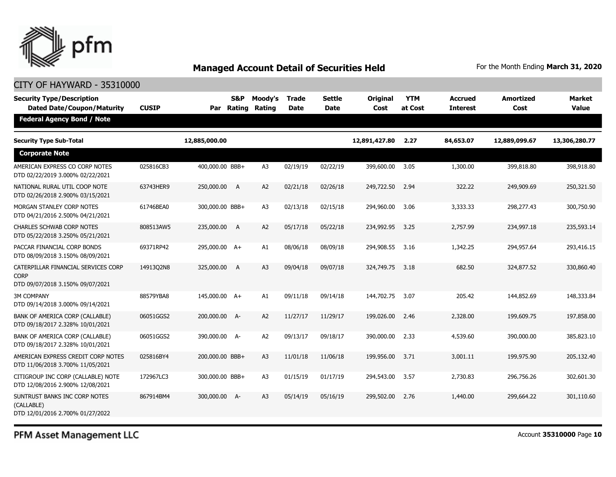

| <b>Security Type/Description</b><br><b>Dated Date/Coupon/Maturity</b>                  | <b>CUSIP</b> | Par             | S&P<br>Rating  | Moody's<br>Rating | <b>Trade</b><br>Date | <b>Settle</b><br><b>Date</b> | <b>Original</b><br><b>Cost</b> | <b>YTM</b><br>at Cost | <b>Accrued</b><br><b>Interest</b> | <b>Amortized</b><br>Cost | <b>Market</b><br><b>Value</b> |
|----------------------------------------------------------------------------------------|--------------|-----------------|----------------|-------------------|----------------------|------------------------------|--------------------------------|-----------------------|-----------------------------------|--------------------------|-------------------------------|
| <b>Federal Agency Bond / Note</b>                                                      |              |                 |                |                   |                      |                              |                                |                       |                                   |                          |                               |
| <b>Security Type Sub-Total</b>                                                         |              | 12,885,000.00   |                |                   |                      |                              | 12,891,427.80                  | 2.27                  | 84,653.07                         | 12,889,099.67            | 13,306,280.77                 |
| <b>Corporate Note</b>                                                                  |              |                 |                |                   |                      |                              |                                |                       |                                   |                          |                               |
| AMERICAN EXPRESS CO CORP NOTES<br>DTD 02/22/2019 3.000% 02/22/2021                     | 025816CB3    | 400,000.00 BBB+ |                | A3                | 02/19/19             | 02/22/19                     | 399,600.00                     | 3.05                  | 1,300.00                          | 399,818.80               | 398,918.80                    |
| NATIONAL RURAL UTIL COOP NOTE<br>DTD 02/26/2018 2.900% 03/15/2021                      | 63743HER9    | 250,000.00      | $\overline{A}$ | A2                | 02/21/18             | 02/26/18                     | 249,722.50                     | 2.94                  | 322.22                            | 249,909.69               | 250,321.50                    |
| MORGAN STANLEY CORP NOTES<br>DTD 04/21/2016 2.500% 04/21/2021                          | 61746BEA0    | 300,000.00 BBB+ |                | A <sub>3</sub>    | 02/13/18             | 02/15/18                     | 294,960.00                     | 3.06                  | 3,333.33                          | 298,277.43               | 300,750.90                    |
| <b>CHARLES SCHWAB CORP NOTES</b><br>DTD 05/22/2018 3.250% 05/21/2021                   | 808513AW5    | 235,000.00 A    |                | A2                | 05/17/18             | 05/22/18                     | 234,992.95                     | 3.25                  | 2,757.99                          | 234,997.18               | 235,593.14                    |
| PACCAR FINANCIAL CORP BONDS<br>DTD 08/09/2018 3.150% 08/09/2021                        | 69371RP42    | 295,000.00 A+   |                | A1                | 08/06/18             | 08/09/18                     | 294,908.55                     | 3.16                  | 1,342.25                          | 294,957.64               | 293,416.15                    |
| CATERPILLAR FINANCIAL SERVICES CORP<br><b>CORP</b><br>DTD 09/07/2018 3.150% 09/07/2021 | 14913Q2N8    | 325,000.00 A    |                | A <sub>3</sub>    | 09/04/18             | 09/07/18                     | 324,749.75                     | 3.18                  | 682.50                            | 324,877.52               | 330,860.40                    |
| <b>3M COMPANY</b><br>DTD 09/14/2018 3.000% 09/14/2021                                  | 88579YBA8    | 145,000.00 A+   |                | A1                | 09/11/18             | 09/14/18                     | 144,702.75                     | 3.07                  | 205.42                            | 144,852.69               | 148,333.84                    |
| BANK OF AMERICA CORP (CALLABLE)<br>DTD 09/18/2017 2.328% 10/01/2021                    | 06051GGS2    | 200,000.00 A-   |                | A2                | 11/27/17             | 11/29/17                     | 199,026.00                     | 2.46                  | 2,328.00                          | 199,609.75               | 197,858.00                    |
| BANK OF AMERICA CORP (CALLABLE)<br>DTD 09/18/2017 2.328% 10/01/2021                    | 06051GGS2    | 390,000.00 A-   |                | A2                | 09/13/17             | 09/18/17                     | 390,000.00                     | 2.33                  | 4,539.60                          | 390,000.00               | 385,823.10                    |
| AMERICAN EXPRESS CREDIT CORP NOTES<br>DTD 11/06/2018 3.700% 11/05/2021                 | 025816BY4    | 200,000.00 BBB+ |                | A <sub>3</sub>    | 11/01/18             | 11/06/18                     | 199,956.00                     | 3.71                  | 3,001.11                          | 199,975.90               | 205,132.40                    |
| CITIGROUP INC CORP (CALLABLE) NOTE<br>DTD 12/08/2016 2.900% 12/08/2021                 | 172967LC3    | 300,000.00 BBB+ |                | A <sub>3</sub>    | 01/15/19             | 01/17/19                     | 294,543.00                     | 3.57                  | 2,730.83                          | 296,756.26               | 302,601.30                    |
| SUNTRUST BANKS INC CORP NOTES<br>(CALLABLE)<br>DTD 12/01/2016 2.700% 01/27/2022        | 867914BM4    | 300,000.00 A-   |                | A3                | 05/14/19             | 05/16/19                     | 299,502.00                     | 2.76                  | 1,440.00                          | 299,664.22               | 301,110.60                    |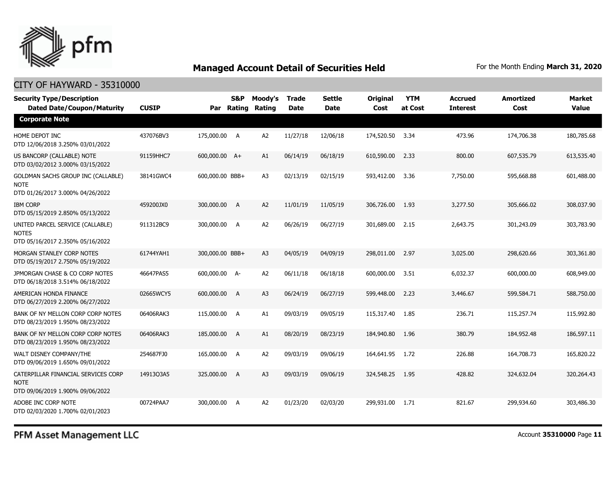

## CITY OF HAYWARD - 35310000

| <b>Security Type/Description</b><br><b>Dated Date/Coupon/Maturity</b>                  | <b>CUSIP</b> |                 | <b>S&amp;P</b><br>Par Rating | Moody's<br>Rating | <b>Trade</b><br><b>Date</b> | <b>Settle</b><br>Date | <b>Original</b><br>Cost | <b>YTM</b><br>at Cost | <b>Accrued</b><br><b>Interest</b> | <b>Amortized</b><br>Cost | Market<br><b>Value</b> |
|----------------------------------------------------------------------------------------|--------------|-----------------|------------------------------|-------------------|-----------------------------|-----------------------|-------------------------|-----------------------|-----------------------------------|--------------------------|------------------------|
| <b>Corporate Note</b>                                                                  |              |                 |                              |                   |                             |                       |                         |                       |                                   |                          |                        |
| HOME DEPOT INC<br>DTD 12/06/2018 3.250% 03/01/2022                                     | 437076BV3    | 175,000.00 A    |                              | A <sub>2</sub>    | 11/27/18                    | 12/06/18              | 174,520.50              | 3.34                  | 473.96                            | 174,706.38               | 180,785.68             |
| US BANCORP (CALLABLE) NOTE<br>DTD 03/02/2012 3.000% 03/15/2022                         | 91159HHC7    | 600,000.00 A+   |                              | A1                | 06/14/19                    | 06/18/19              | 610,590.00              | 2.33                  | 800.00                            | 607,535.79               | 613,535.40             |
| GOLDMAN SACHS GROUP INC (CALLABLE)<br><b>NOTE</b><br>DTD 01/26/2017 3.000% 04/26/2022  | 38141GWC4    | 600,000.00 BBB+ |                              | A3                | 02/13/19                    | 02/15/19              | 593,412.00              | 3.36                  | 7,750.00                          | 595,668.88               | 601,488.00             |
| <b>IBM CORP</b><br>DTD 05/15/2019 2.850% 05/13/2022                                    | 459200JX0    | 300,000.00 A    |                              | A <sub>2</sub>    | 11/01/19                    | 11/05/19              | 306,726.00              | 1.93                  | 3,277.50                          | 305,666.02               | 308,037.90             |
| UNITED PARCEL SERVICE (CALLABLE)<br><b>NOTES</b><br>DTD 05/16/2017 2.350% 05/16/2022   | 911312BC9    | 300,000.00 A    |                              | A <sub>2</sub>    | 06/26/19                    | 06/27/19              | 301,689.00              | 2.15                  | 2,643.75                          | 301,243.09               | 303,783.90             |
| MORGAN STANLEY CORP NOTES<br>DTD 05/19/2017 2.750% 05/19/2022                          | 61744YAH1    | 300,000.00 BBB+ |                              | A3                | 04/05/19                    | 04/09/19              | 298,011.00              | 2.97                  | 3,025.00                          | 298,620.66               | 303,361.80             |
| JPMORGAN CHASE & CO CORP NOTES<br>DTD 06/18/2018 3.514% 06/18/2022                     | 46647PAS5    | 600,000.00 A-   |                              | A2                | 06/11/18                    | 06/18/18              | 600,000.00              | 3.51                  | 6,032.37                          | 600,000.00               | 608,949.00             |
| AMERICAN HONDA FINANCE<br>DTD 06/27/2019 2.200% 06/27/2022                             | 02665WCY5    | 600,000.00 A    |                              | A <sub>3</sub>    | 06/24/19                    | 06/27/19              | 599,448.00              | 2.23                  | 3,446.67                          | 599,584.71               | 588,750.00             |
| BANK OF NY MELLON CORP CORP NOTES<br>DTD 08/23/2019 1.950% 08/23/2022                  | 06406RAK3    | 115,000.00 A    |                              | A1                | 09/03/19                    | 09/05/19              | 115,317.40              | 1.85                  | 236.71                            | 115,257.74               | 115,992.80             |
| BANK OF NY MELLON CORP CORP NOTES<br>DTD 08/23/2019 1.950% 08/23/2022                  | 06406RAK3    | 185,000.00 A    |                              | A1                | 08/20/19                    | 08/23/19              | 184,940.80              | 1.96                  | 380.79                            | 184,952.48               | 186,597.11             |
| WALT DISNEY COMPANY/THE<br>DTD 09/06/2019 1.650% 09/01/2022                            | 254687FJ0    | 165,000.00 A    |                              | A <sub>2</sub>    | 09/03/19                    | 09/06/19              | 164,641.95              | 1.72                  | 226.88                            | 164,708.73               | 165,820.22             |
| CATERPILLAR FINANCIAL SERVICES CORP<br><b>NOTE</b><br>DTD 09/06/2019 1.900% 09/06/2022 | 14913Q3A5    | 325,000.00 A    |                              | A3                | 09/03/19                    | 09/06/19              | 324,548.25              | 1.95                  | 428.82                            | 324,632.04               | 320,264.43             |
| ADOBE INC CORP NOTE<br>DTD 02/03/2020 1.700% 02/01/2023                                | 00724PAA7    | 300,000.00 A    |                              | A <sub>2</sub>    | 01/23/20                    | 02/03/20              | 299,931.00              | 1.71                  | 821.67                            | 299,934.60               | 303,486.30             |

PFM Asset Management LLC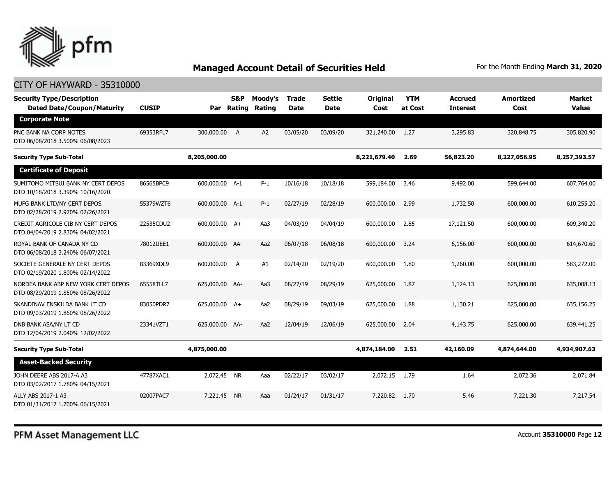

| <b>Security Type/Description</b><br><b>Dated Date/Coupon/Maturity</b>   | <b>CUSIP</b> | Par            | <b>S&amp;P</b><br>Rating | Moody's<br>Rating | <b>Trade</b><br><b>Date</b> | Settle<br><b>Date</b> | Original<br>Cost | <b>YTM</b><br>at Cost | <b>Accrued</b><br><b>Interest</b> | <b>Amortized</b><br>Cost | Market<br><b>Value</b> |
|-------------------------------------------------------------------------|--------------|----------------|--------------------------|-------------------|-----------------------------|-----------------------|------------------|-----------------------|-----------------------------------|--------------------------|------------------------|
| <b>Corporate Note</b>                                                   |              |                |                          |                   |                             |                       |                  |                       |                                   |                          |                        |
| PNC BANK NA CORP NOTES<br>DTD 06/08/2018 3.500% 06/08/2023              | 69353RFL7    | 300,000.00 A   |                          | A <sub>2</sub>    | 03/05/20                    | 03/09/20              | 321,240.00       | 1.27                  | 3,295.83                          | 320,848.75               | 305,820,90             |
| <b>Security Type Sub-Total</b>                                          |              | 8,205,000.00   |                          |                   |                             |                       | 8,221,679.40     | 2.69                  | 56,823.20                         | 8,227,056.95             | 8,257,393.57           |
| <b>Certificate of Deposit</b>                                           |              |                |                          |                   |                             |                       |                  |                       |                                   |                          |                        |
| SUMITOMO MITSUI BANK NY CERT DEPOS<br>DTD 10/18/2018 3.390% 10/16/2020  | 86565BPC9    | 600,000.00 A-1 |                          | $P-1$             | 10/16/18                    | 10/18/18              | 599,184.00       | 3.46                  | 9,492.00                          | 599,644.00               | 607,764.00             |
| MUFG BANK LTD/NY CERT DEPOS<br>DTD 02/28/2019 2.970% 02/26/2021         | 55379WZT6    | 600,000.00 A-1 |                          | $P-1$             | 02/27/19                    | 02/28/19              | 600,000,00       | 2.99                  | 1,732.50                          | 600,000.00               | 610,255.20             |
| CREDIT AGRICOLE CIB NY CERT DEPOS<br>DTD 04/04/2019 2.830% 04/02/2021   | 22535CDU2    | 600,000.00 A+  |                          | Aa3               | 04/03/19                    | 04/04/19              | 600,000.00       | 2.85                  | 17,121.50                         | 600,000.00               | 609,340.20             |
| ROYAL BANK OF CANADA NY CD<br>DTD 06/08/2018 3.240% 06/07/2021          | 78012UEE1    | 600,000.00 AA- |                          | Aa2               | 06/07/18                    | 06/08/18              | 600,000.00       | 3.24                  | 6,156.00                          | 600,000.00               | 614,670.60             |
| SOCIETE GENERALE NY CERT DEPOS<br>DTD 02/19/2020 1.800% 02/14/2022      | 83369XDL9    | 600,000.00     | A                        | A1                | 02/14/20                    | 02/19/20              | 600,000.00       | 1.80                  | 1,260.00                          | 600,000.00               | 583,272.00             |
| NORDEA BANK ABP NEW YORK CERT DEPOS<br>DTD 08/29/2019 1.850% 08/26/2022 | 65558TLL7    | 625,000.00 AA- |                          | Aa3               | 08/27/19                    | 08/29/19              | 625,000.00       | 1.87                  | 1,124.13                          | 625,000.00               | 635,008.13             |
| SKANDINAV ENSKILDA BANK LT CD<br>DTD 09/03/2019 1.860% 08/26/2022       | 83050PDR7    | 625,000.00 A+  |                          | Aa2               | 08/29/19                    | 09/03/19              | 625,000.00       | 1.88                  | 1,130.21                          | 625,000.00               | 635,156.25             |
| DNB BANK ASA/NY LT CD<br>DTD 12/04/2019 2.040% 12/02/2022               | 23341VZT1    | 625,000.00 AA- |                          | Aa2               | 12/04/19                    | 12/06/19              | 625,000,00       | 2.04                  | 4,143,75                          | 625,000,00               | 639,441.25             |
| <b>Security Type Sub-Total</b>                                          |              | 4,875,000.00   |                          |                   |                             |                       | 4,874,184.00     | 2.51                  | 42,160.09                         | 4,874,644.00             | 4,934,907.63           |
| <b>Asset-Backed Security</b>                                            |              |                |                          |                   |                             |                       |                  |                       |                                   |                          |                        |
| JOHN DEERE ABS 2017-A A3<br>DTD 03/02/2017 1.780% 04/15/2021            | 47787XAC1    | 2,072.45 NR    |                          | Aaa               | 02/22/17                    | 03/02/17              | 2,072.15 1.79    |                       | 1.64                              | 2,072.36                 | 2.071.84               |
| ALLY ABS 2017-1 A3<br>DTD 01/31/2017 1.700% 06/15/2021                  | 02007PAC7    | 7,221.45       | <b>NR</b>                | Aaa               | 01/24/17                    | 01/31/17              | 7,220.82         | 1.70                  | 5.46                              | 7,221,30                 | 7,217.54               |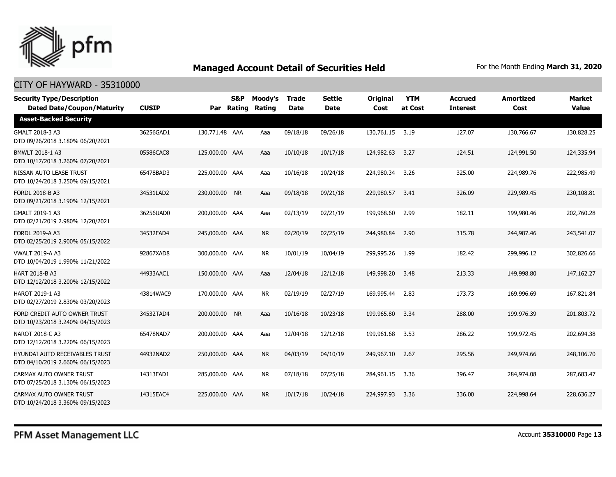

| <b>Security Type/Description</b><br><b>Dated Date/Coupon/Maturity</b> | <b>CUSIP</b> |                | S&P<br>Par Rating | Moody's<br>Rating | <b>Trade</b><br><b>Date</b> | <b>Settle</b><br><b>Date</b> | <b>Original</b><br>Cost | <b>YTM</b><br>at Cost | <b>Accrued</b><br><b>Interest</b> | <b>Amortized</b><br>Cost | <b>Market</b><br><b>Value</b> |
|-----------------------------------------------------------------------|--------------|----------------|-------------------|-------------------|-----------------------------|------------------------------|-------------------------|-----------------------|-----------------------------------|--------------------------|-------------------------------|
| <b>Asset-Backed Security</b>                                          |              |                |                   |                   |                             |                              |                         |                       |                                   |                          |                               |
| GMALT 2018-3 A3<br>DTD 09/26/2018 3.180% 06/20/2021                   | 36256GAD1    | 130,771.48 AAA |                   | Aaa               | 09/18/18                    | 09/26/18                     | 130,761.15              | 3.19                  | 127.07                            | 130,766.67               | 130,828.25                    |
| BMWLT 2018-1 A3<br>DTD 10/17/2018 3.260% 07/20/2021                   | 05586CAC8    | 125,000.00 AAA |                   | Aaa               | 10/10/18                    | 10/17/18                     | 124,982.63              | 3.27                  | 124.51                            | 124,991.50               | 124,335.94                    |
| NISSAN AUTO LEASE TRUST<br>DTD 10/24/2018 3.250% 09/15/2021           | 65478BAD3    | 225,000.00 AAA |                   | Aaa               | 10/16/18                    | 10/24/18                     | 224,980.34              | 3.26                  | 325.00                            | 224,989.76               | 222,985.49                    |
| <b>FORDL 2018-B A3</b><br>DTD 09/21/2018 3.190% 12/15/2021            | 34531LAD2    | 230,000.00 NR  |                   | Aaa               | 09/18/18                    | 09/21/18                     | 229,980.57              | 3.41                  | 326.09                            | 229,989.45               | 230,108.81                    |
| GMALT 2019-1 A3<br>DTD 02/21/2019 2.980% 12/20/2021                   | 36256UAD0    | 200,000.00 AAA |                   | Aaa               | 02/13/19                    | 02/21/19                     | 199,968.60              | 2.99                  | 182.11                            | 199,980.46               | 202,760.28                    |
| <b>FORDL 2019-A A3</b><br>DTD 02/25/2019 2.900% 05/15/2022            | 34532FAD4    | 245,000.00 AAA |                   | <b>NR</b>         | 02/20/19                    | 02/25/19                     | 244,980.84              | 2.90                  | 315.78                            | 244,987.46               | 243,541.07                    |
| <b>VWALT 2019-A A3</b><br>DTD 10/04/2019 1.990% 11/21/2022            | 92867XAD8    | 300,000.00 AAA |                   | <b>NR</b>         | 10/01/19                    | 10/04/19                     | 299,995.26              | 1.99                  | 182.42                            | 299,996.12               | 302,826.66                    |
| <b>HART 2018-B A3</b><br>DTD 12/12/2018 3.200% 12/15/2022             | 44933AAC1    | 150,000.00 AAA |                   | Aaa               | 12/04/18                    | 12/12/18                     | 149,998.20              | 3.48                  | 213.33                            | 149,998.80               | 147, 162, 27                  |
| HAROT 2019-1 A3<br>DTD 02/27/2019 2.830% 03/20/2023                   | 43814WAC9    | 170,000.00 AAA |                   | NR.               | 02/19/19                    | 02/27/19                     | 169,995.44              | 2.83                  | 173.73                            | 169,996.69               | 167,821.84                    |
| FORD CREDIT AUTO OWNER TRUST<br>DTD 10/23/2018 3.240% 04/15/2023      | 34532TAD4    | 200,000.00 NR  |                   | Aaa               | 10/16/18                    | 10/23/18                     | 199,965.80              | 3.34                  | 288.00                            | 199,976.39               | 201,803.72                    |
| NAROT 2018-C A3<br>DTD 12/12/2018 3.220% 06/15/2023                   | 65478NAD7    | 200,000.00 AAA |                   | Aaa               | 12/04/18                    | 12/12/18                     | 199,961.68              | 3.53                  | 286.22                            | 199,972.45               | 202,694.38                    |
| HYUNDAI AUTO RECEIVABLES TRUST<br>DTD 04/10/2019 2.660% 06/15/2023    | 44932NAD2    | 250,000.00 AAA |                   | <b>NR</b>         | 04/03/19                    | 04/10/19                     | 249,967.10              | 2.67                  | 295.56                            | 249,974.66               | 248,106.70                    |
| CARMAX AUTO OWNER TRUST<br>DTD 07/25/2018 3.130% 06/15/2023           | 14313FAD1    | 285,000.00 AAA |                   | <b>NR</b>         | 07/18/18                    | 07/25/18                     | 284,961.15              | 3.36                  | 396.47                            | 284,974.08               | 287,683.47                    |
| CARMAX AUTO OWNER TRUST<br>DTD 10/24/2018 3.360% 09/15/2023           | 14315EAC4    | 225,000.00 AAA |                   | <b>NR</b>         | 10/17/18                    | 10/24/18                     | 224,997.93              | 3.36                  | 336.00                            | 224,998.64               | 228,636.27                    |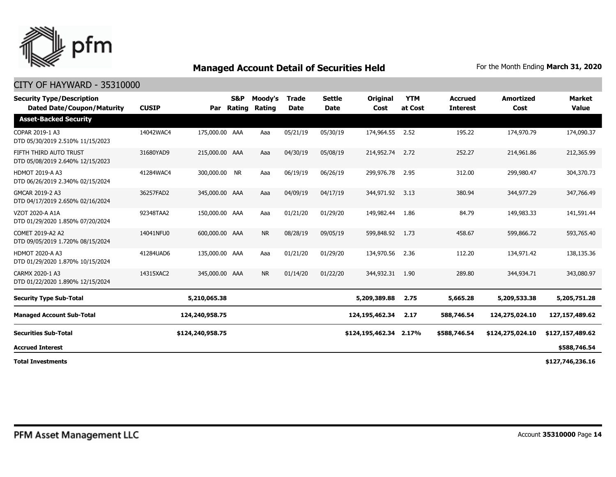

| <b>Security Type/Description</b><br><b>Dated Date/Coupon/Maturity</b> | <b>CUSIP</b> | Par              | <b>S&amp;P</b><br>Rating | Moody's<br>Rating | <b>Trade</b><br><b>Date</b> | <b>Settle</b><br>Date | Original<br>Cost | <b>YTM</b><br>at Cost | <b>Accrued</b><br><b>Interest</b> | <b>Amortized</b><br>Cost | <b>Market</b><br><b>Value</b> |
|-----------------------------------------------------------------------|--------------|------------------|--------------------------|-------------------|-----------------------------|-----------------------|------------------|-----------------------|-----------------------------------|--------------------------|-------------------------------|
| <b>Asset-Backed Security</b>                                          |              |                  |                          |                   |                             |                       |                  |                       |                                   |                          |                               |
| COPAR 2019-1 A3<br>DTD 05/30/2019 2.510% 11/15/2023                   | 14042WAC4    | 175,000.00 AAA   |                          | Aaa               | 05/21/19                    | 05/30/19              | 174,964.55       | 2.52                  | 195.22                            | 174,970.79               | 174,090.37                    |
| FIFTH THIRD AUTO TRUST<br>DTD 05/08/2019 2.640% 12/15/2023            | 31680YAD9    | 215,000.00 AAA   |                          | Aaa               | 04/30/19                    | 05/08/19              | 214,952.74       | 2.72                  | 252.27                            | 214,961.86               | 212,365.99                    |
| <b>HDMOT 2019-A A3</b><br>DTD 06/26/2019 2.340% 02/15/2024            | 41284WAC4    | 300,000.00 NR    |                          | Aaa               | 06/19/19                    | 06/26/19              | 299,976.78       | 2.95                  | 312.00                            | 299,980.47               | 304,370.73                    |
| GMCAR 2019-2 A3<br>DTD 04/17/2019 2.650% 02/16/2024                   | 36257FAD2    | 345,000.00 AAA   |                          | Aaa               | 04/09/19                    | 04/17/19              | 344,971.92 3.13  |                       | 380.94                            | 344,977.29               | 347,766.49                    |
| VZOT 2020-A A1A<br>DTD 01/29/2020 1.850% 07/20/2024                   | 92348TAA2    | 150,000.00 AAA   |                          | Aaa               | 01/21/20                    | 01/29/20              | 149,982.44       | 1.86                  | 84.79                             | 149,983.33               | 141,591.44                    |
| COMET 2019-A2 A2<br>DTD 09/05/2019 1.720% 08/15/2024                  | 14041NFU0    | 600,000.00 AAA   |                          | <b>NR</b>         | 08/28/19                    | 09/05/19              | 599,848.92       | 1.73                  | 458.67                            | 599,866,72               | 593,765,40                    |
| <b>HDMOT 2020-A A3</b><br>DTD 01/29/2020 1.870% 10/15/2024            | 41284UAD6    | 135,000.00 AAA   |                          | Aaa               | 01/21/20                    | 01/29/20              | 134,970.56       | 2.36                  | 112.20                            | 134,971.42               | 138,135.36                    |
| CARMX 2020-1 A3<br>DTD 01/22/2020 1.890% 12/15/2024                   | 14315XAC2    | 345,000.00 AAA   |                          | <b>NR</b>         | 01/14/20                    | 01/22/20              | 344,932.31       | 1.90                  | 289.80                            | 344,934.71               | 343,080.97                    |
| <b>Security Type Sub-Total</b>                                        |              | 5,210,065.38     |                          |                   |                             |                       | 5,209,389.88     | 2.75                  | 5,665.28                          | 5,209,533.38             | 5,205,751.28                  |
| <b>Managed Account Sub-Total</b>                                      |              | 124,240,958.75   |                          |                   |                             |                       | 124,195,462.34   | 2.17                  | 588,746.54                        | 124,275,024.10           | 127,157,489.62                |
| <b>Securities Sub-Total</b>                                           |              | \$124,240,958.75 |                          |                   |                             |                       | \$124,195,462.34 | 2.17%                 | \$588,746.54                      | \$124,275,024.10         | \$127,157,489.62              |
| <b>Accrued Interest</b>                                               |              |                  |                          |                   |                             |                       |                  |                       |                                   |                          | \$588,746.54                  |
| <b>Total Investments</b>                                              |              |                  |                          |                   |                             |                       |                  |                       |                                   |                          | \$127,746,236.16              |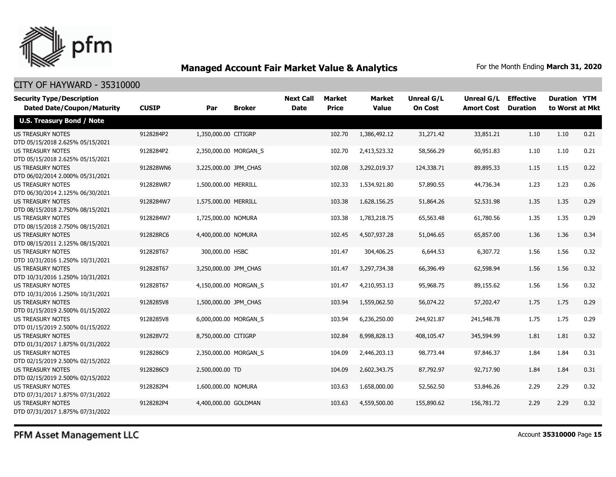

| <b>Security Type/Description</b>  |              |                       |                       | <b>Next Call</b> | <b>Market</b> | <b>Market</b> | <b>Unreal G/L</b> | Unreal G/L        | <b>Effective</b> | <b>Duration YTM</b> |      |
|-----------------------------------|--------------|-----------------------|-----------------------|------------------|---------------|---------------|-------------------|-------------------|------------------|---------------------|------|
| <b>Dated Date/Coupon/Maturity</b> | <b>CUSIP</b> | Par                   | <b>Broker</b>         | <b>Date</b>      | <b>Price</b>  | <b>Value</b>  | <b>On Cost</b>    | <b>Amort Cost</b> | <b>Duration</b>  | to Worst at Mkt     |      |
| <b>U.S. Treasury Bond / Note</b>  |              |                       |                       |                  |               |               |                   |                   |                  |                     |      |
| <b>US TREASURY NOTES</b>          | 9128284P2    | 1,350,000.00 CITIGRP  |                       |                  | 102.70        | 1,386,492.12  | 31,271.42         | 33,851.21         | 1.10             | 1.10                | 0.21 |
| DTD 05/15/2018 2.625% 05/15/2021  |              |                       |                       |                  |               |               |                   |                   |                  |                     |      |
| <b>US TREASURY NOTES</b>          | 9128284P2    |                       | 2,350,000.00 MORGAN_S |                  | 102.70        | 2,413,523.32  | 58,566.29         | 60,951.83         | 1.10             | 1.10                | 0.21 |
| DTD 05/15/2018 2.625% 05/15/2021  |              |                       |                       |                  |               |               |                   |                   |                  |                     |      |
| <b>US TREASURY NOTES</b>          | 912828WN6    | 3,225,000.00 JPM_CHAS |                       |                  | 102.08        | 3,292,019.37  | 124,338.71        | 89,895.33         | 1.15             | 1.15                | 0.22 |
| DTD 06/02/2014 2.000% 05/31/2021  |              |                       |                       |                  |               |               |                   |                   |                  |                     |      |
| <b>US TREASURY NOTES</b>          | 912828WR7    | 1,500,000.00 MERRILL  |                       |                  | 102.33        | 1,534,921.80  | 57,890.55         | 44,736.34         | 1.23             | 1.23                | 0.26 |
| DTD 06/30/2014 2.125% 06/30/2021  |              |                       |                       |                  |               |               |                   |                   |                  |                     |      |
| <b>US TREASURY NOTES</b>          | 9128284W7    | 1,575,000.00 MERRILL  |                       |                  | 103.38        | 1,628,156.25  | 51,864.26         | 52,531.98         | 1.35             | 1.35                | 0.29 |
| DTD 08/15/2018 2.750% 08/15/2021  |              |                       |                       |                  |               |               |                   |                   |                  |                     |      |
| <b>US TREASURY NOTES</b>          | 9128284W7    | 1,725,000.00 NOMURA   |                       |                  | 103.38        | 1,783,218.75  | 65,563.48         | 61,780.56         | 1.35             | 1.35                | 0.29 |
| DTD 08/15/2018 2.750% 08/15/2021  |              |                       |                       |                  |               |               |                   |                   |                  |                     |      |
| <b>US TREASURY NOTES</b>          | 912828RC6    | 4,400,000.00 NOMURA   |                       |                  | 102.45        | 4,507,937.28  | 51,046.65         | 65,857.00         | 1.36             | 1.36                | 0.34 |
| DTD 08/15/2011 2.125% 08/15/2021  |              |                       |                       |                  |               |               |                   |                   |                  |                     |      |
| <b>US TREASURY NOTES</b>          | 912828T67    | 300,000.00 HSBC       |                       |                  | 101.47        | 304,406.25    | 6,644.53          | 6,307.72          | 1.56             | 1.56                | 0.32 |
| DTD 10/31/2016 1.250% 10/31/2021  |              |                       |                       |                  |               |               |                   |                   |                  |                     |      |
| <b>US TREASURY NOTES</b>          | 912828T67    | 3,250,000.00 JPM_CHAS |                       |                  | 101.47        | 3,297,734.38  | 66,396.49         | 62,598.94         | 1.56             | 1.56                | 0.32 |
| DTD 10/31/2016 1.250% 10/31/2021  |              |                       |                       |                  |               |               |                   |                   |                  |                     |      |
| <b>US TREASURY NOTES</b>          | 912828T67    |                       | 4,150,000.00 MORGAN_S |                  | 101.47        | 4,210,953.13  | 95,968.75         | 89,155.62         | 1.56             | 1.56                | 0.32 |
| DTD 10/31/2016 1.250% 10/31/2021  |              |                       |                       |                  |               |               |                   |                   |                  |                     |      |
| <b>US TREASURY NOTES</b>          | 9128285V8    | 1,500,000.00 JPM CHAS |                       |                  | 103.94        | 1,559,062.50  | 56,074.22         | 57,202.47         | 1.75             | 1.75                | 0.29 |
| DTD 01/15/2019 2.500% 01/15/2022  |              |                       |                       |                  |               |               |                   |                   |                  |                     |      |
| <b>US TREASURY NOTES</b>          | 9128285V8    |                       | 6,000,000.00 MORGAN_S |                  | 103.94        | 6,236,250.00  | 244,921.87        | 241,548.78        | 1.75             | 1.75                | 0.29 |
| DTD 01/15/2019 2.500% 01/15/2022  |              |                       |                       |                  |               |               |                   |                   |                  |                     |      |
| <b>US TREASURY NOTES</b>          | 912828V72    | 8,750,000.00 CITIGRP  |                       |                  | 102.84        | 8,998,828.13  | 408,105.47        | 345,594.99        | 1.81             | 1.81                | 0.32 |
| DTD 01/31/2017 1.875% 01/31/2022  |              |                       |                       |                  |               |               |                   |                   |                  |                     |      |
| <b>US TREASURY NOTES</b>          | 9128286C9    |                       | 2,350,000.00 MORGAN_S |                  | 104.09        | 2,446,203.13  | 98,773.44         | 97,846.37         | 1.84             | 1.84                | 0.31 |
| DTD 02/15/2019 2.500% 02/15/2022  |              |                       |                       |                  |               |               |                   |                   |                  |                     |      |
| <b>US TREASURY NOTES</b>          | 9128286C9    | 2,500,000.00 TD       |                       |                  | 104.09        | 2,602,343.75  | 87,792.97         | 92,717.90         | 1.84             | 1.84                | 0.31 |
| DTD 02/15/2019 2.500% 02/15/2022  |              |                       |                       |                  |               |               |                   |                   |                  |                     |      |
| <b>US TREASURY NOTES</b>          | 9128282P4    | 1,600,000.00 NOMURA   |                       |                  | 103.63        | 1,658,000.00  | 52,562.50         | 53,846.26         | 2.29             | 2.29                | 0.32 |
| DTD 07/31/2017 1.875% 07/31/2022  |              |                       |                       |                  |               |               |                   |                   |                  |                     |      |
| <b>US TREASURY NOTES</b>          | 9128282P4    | 4,400,000.00 GOLDMAN  |                       |                  | 103.63        | 4,559,500.00  | 155,890.62        | 156,781.72        | 2.29             | 2.29                | 0.32 |
| DTD 07/31/2017 1.875% 07/31/2022  |              |                       |                       |                  |               |               |                   |                   |                  |                     |      |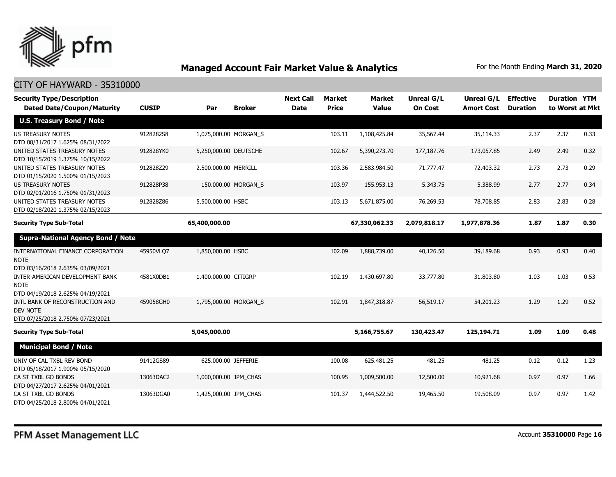

| <b>Security Type/Description</b><br><b>Dated Date/Coupon/Maturity</b>                                               | <b>CUSIP</b> | Par                   | <b>Broker</b>       | <b>Next Call</b><br><b>Date</b> | <b>Market</b><br><b>Price</b> | <b>Market</b><br><b>Value</b> | <b>Unreal G/L</b><br><b>On Cost</b> | Unreal G/L<br><b>Amort Cost</b> | <b>Effective</b><br><b>Duration</b> | <b>Duration YTM</b><br>to Worst at Mkt |      |
|---------------------------------------------------------------------------------------------------------------------|--------------|-----------------------|---------------------|---------------------------------|-------------------------------|-------------------------------|-------------------------------------|---------------------------------|-------------------------------------|----------------------------------------|------|
| <b>U.S. Treasury Bond / Note</b>                                                                                    |              |                       |                     |                                 |                               |                               |                                     |                                 |                                     |                                        |      |
| <b>US TREASURY NOTES</b><br>DTD 08/31/2017 1.625% 08/31/2022                                                        | 9128282S8    | 1,075,000.00 MORGAN S |                     |                                 | 103.11                        | 1,108,425.84                  | 35,567.44                           | 35,114.33                       | 2.37                                | 2.37                                   | 0.33 |
| UNITED STATES TREASURY NOTES<br>DTD 10/15/2019 1.375% 10/15/2022                                                    | 912828YK0    | 5,250,000.00 DEUTSCHE |                     |                                 | 102.67                        | 5,390,273.70                  | 177,187.76                          | 173,057.85                      | 2.49                                | 2.49                                   | 0.32 |
| UNITED STATES TREASURY NOTES<br>DTD 01/15/2020 1.500% 01/15/2023                                                    | 912828Z29    | 2,500,000.00 MERRILL  |                     |                                 | 103.36                        | 2,583,984.50                  | 71,777.47                           | 72,403.32                       | 2.73                                | 2.73                                   | 0.29 |
| <b>US TREASURY NOTES</b><br>DTD 02/01/2016 1.750% 01/31/2023                                                        | 912828P38    |                       | 150,000.00 MORGAN S |                                 | 103.97                        | 155,953.13                    | 5,343.75                            | 5,388.99                        | 2.77                                | 2.77                                   | 0.34 |
| UNITED STATES TREASURY NOTES<br>DTD 02/18/2020 1.375% 02/15/2023                                                    | 912828Z86    | 5,500,000.00 HSBC     |                     |                                 | 103.13                        | 5,671,875.00                  | 76,269.53                           | 78,708.85                       | 2.83                                | 2.83                                   | 0.28 |
| <b>Security Type Sub-Total</b>                                                                                      |              | 65,400,000.00         |                     |                                 |                               | 67,330,062.33                 | 2,079,818.17                        | 1,977,878.36                    | 1.87                                | 1.87                                   | 0.30 |
| <b>Supra-National Agency Bond / Note</b>                                                                            |              |                       |                     |                                 |                               |                               |                                     |                                 |                                     |                                        |      |
| INTERNATIONAL FINANCE CORPORATION<br><b>NOTE</b><br>DTD 03/16/2018 2.635% 03/09/2021                                | 45950VLQ7    | 1,850,000.00 HSBC     |                     |                                 | 102.09                        | 1,888,739.00                  | 40,126.50                           | 39,189.68                       | 0.93                                | 0.93                                   | 0.40 |
| INTER-AMERICAN DEVELOPMENT BANK<br><b>NOTE</b>                                                                      | 4581X0DB1    | 1,400,000.00 CITIGRP  |                     |                                 | 102.19                        | 1,430,697.80                  | 33,777.80                           | 31,803.80                       | 1.03                                | 1.03                                   | 0.53 |
| DTD 04/19/2018 2.625% 04/19/2021<br>INTL BANK OF RECONSTRUCTION AND<br>DEV NOTE<br>DTD 07/25/2018 2.750% 07/23/2021 | 459058GH0    | 1,795,000.00 MORGAN S |                     |                                 | 102.91                        | 1,847,318.87                  | 56,519.17                           | 54,201.23                       | 1.29                                | 1.29                                   | 0.52 |
| <b>Security Type Sub-Total</b>                                                                                      |              | 5,045,000.00          |                     |                                 |                               | 5,166,755.67                  | 130,423.47                          | 125,194.71                      | 1.09                                | 1.09                                   | 0.48 |
| <b>Municipal Bond / Note</b>                                                                                        |              |                       |                     |                                 |                               |                               |                                     |                                 |                                     |                                        |      |
| UNIV OF CAL TXBL REV BOND<br>DTD 05/18/2017 1.900% 05/15/2020                                                       | 91412GS89    | 625,000.00 JEFFERIE   |                     |                                 | 100.08                        | 625,481.25                    | 481.25                              | 481.25                          | 0.12                                | 0.12                                   | 1.23 |
| CA ST TXBL GO BONDS<br>DTD 04/27/2017 2.625% 04/01/2021                                                             | 13063DAC2    | 1,000,000.00 JPM CHAS |                     |                                 | 100.95                        | 1,009,500.00                  | 12,500.00                           | 10,921.68                       | 0.97                                | 0.97                                   | 1.66 |
| CA ST TXBL GO BONDS<br>DTD 04/25/2018 2.800% 04/01/2021                                                             | 13063DGA0    | 1,425,000.00 JPM CHAS |                     |                                 | 101.37                        | 1,444,522.50                  | 19,465.50                           | 19,508.09                       | 0.97                                | 0.97                                   | 1.42 |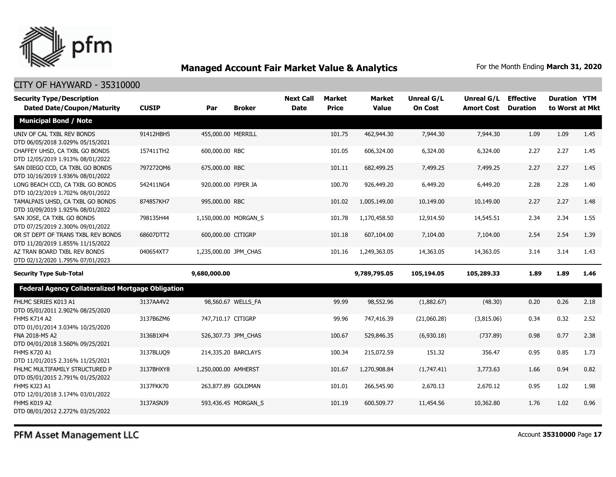

| <b>Security Type/Description</b><br><b>Dated Date/Coupon/Maturity</b>  | <b>CUSIP</b> | Par                   | <b>Broker</b>       | <b>Next Call</b><br><b>Date</b> | <b>Market</b><br><b>Price</b> | <b>Market</b><br><b>Value</b> | <b>Unreal G/L</b><br><b>On Cost</b> | Unreal G/L<br><b>Amort Cost</b> | <b>Effective</b><br><b>Duration</b> | <b>Duration YTM</b><br>to Worst at Mkt |      |
|------------------------------------------------------------------------|--------------|-----------------------|---------------------|---------------------------------|-------------------------------|-------------------------------|-------------------------------------|---------------------------------|-------------------------------------|----------------------------------------|------|
| <b>Municipal Bond / Note</b>                                           |              |                       |                     |                                 |                               |                               |                                     |                                 |                                     |                                        |      |
| UNIV OF CAL TXBL REV BONDS<br>DTD 06/05/2018 3.029% 05/15/2021         | 91412HBH5    | 455,000.00 MERRILL    |                     |                                 | 101.75                        | 462,944.30                    | 7,944.30                            | 7,944.30                        | 1.09                                | 1.09                                   | 1.45 |
| CHAFFEY UHSD, CA TXBL GO BONDS<br>DTD 12/05/2019 1.913% 08/01/2022     | 157411TH2    | 600,000.00 RBC        |                     |                                 | 101.05                        | 606,324.00                    | 6,324.00                            | 6,324.00                        | 2.27                                | 2.27                                   | 1.45 |
| SAN DIEGO CCD, CA TXBL GO BONDS<br>DTD 10/16/2019 1.936% 08/01/2022    | 7972720M6    | 675,000.00 RBC        |                     |                                 | 101.11                        | 682,499.25                    | 7,499.25                            | 7,499.25                        | 2.27                                | 2.27                                   | 1.45 |
| LONG BEACH CCD, CA TXBL GO BONDS<br>DTD 10/23/2019 1.702% 08/01/2022   | 542411NG4    | 920,000.00 PIPER JA   |                     |                                 | 100.70                        | 926,449.20                    | 6,449.20                            | 6,449.20                        | 2.28                                | 2.28                                   | 1.40 |
| TAMALPAIS UHSD, CA TXBL GO BONDS<br>DTD 10/09/2019 1.925% 08/01/2022   | 874857KH7    | 995,000.00 RBC        |                     |                                 | 101.02                        | 1,005,149.00                  | 10,149.00                           | 10,149.00                       | 2.27                                | 2.27                                   | 1.48 |
| SAN JOSE, CA TXBL GO BONDS<br>DTD 07/25/2019 2.300% 09/01/2022         | 798135H44    | 1,150,000.00 MORGAN_S |                     |                                 | 101.78                        | 1,170,458.50                  | 12,914.50                           | 14,545.51                       | 2.34                                | 2.34                                   | 1.55 |
| OR ST DEPT OF TRANS TXBL REV BONDS<br>DTD 11/20/2019 1.855% 11/15/2022 | 68607DTT2    | 600,000.00 CITIGRP    |                     |                                 | 101.18                        | 607,104.00                    | 7,104.00                            | 7,104.00                        | 2.54                                | 2.54                                   | 1.39 |
| AZ TRAN BOARD TXBL REV BONDS<br>DTD 02/12/2020 1.795% 07/01/2023       | 040654XT7    | 1,235,000.00 JPM_CHAS |                     |                                 | 101.16                        | 1,249,363.05                  | 14,363.05                           | 14,363.05                       | 3.14                                | 3.14                                   | 1.43 |
| <b>Security Type Sub-Total</b>                                         |              | 9,680,000.00          |                     |                                 |                               | 9,789,795.05                  | 105,194.05                          | 105,289.33                      | 1.89                                | 1.89                                   | 1.46 |
| Federal Agency Collateralized Mortgage Obligation                      |              |                       |                     |                                 |                               |                               |                                     |                                 |                                     |                                        |      |
| FHLMC SERIES K013 A1<br>DTD 05/01/2011 2.902% 08/25/2020               | 3137AA4V2    |                       | 98,560.67 WELLS_FA  |                                 | 99.99                         | 98,552.96                     | (1,882.67)                          | (48.30)                         | 0.20                                | 0.26                                   | 2.18 |
| <b>FHMS K714 A2</b><br>DTD 01/01/2014 3.034% 10/25/2020                | 3137B6ZM6    | 747,710.17 CITIGRP    |                     |                                 | 99.96                         | 747,416.39                    | (21,060.28)                         | (3,815.06)                      | 0.34                                | 0.32                                   | 2.52 |
| FNA 2018-M5 A2<br>DTD 04/01/2018 3.560% 09/25/2021                     | 3136B1XP4    |                       | 526,307.73 JPM_CHAS |                                 | 100.67                        | 529,846.35                    | (6,930.18)                          | (737.89)                        | 0.98                                | 0.77                                   | 2.38 |
| <b>FHMS K720 A1</b><br>DTD 11/01/2015 2.316% 11/25/2021                | 3137BLUQ9    |                       | 214,335.20 BARCLAYS |                                 | 100.34                        | 215,072.59                    | 151.32                              | 356.47                          | 0.95                                | 0.85                                   | 1.73 |
| FHLMC MULTIFAMILY STRUCTURED P<br>DTD 05/01/2015 2.791% 01/25/2022     | 3137BHXY8    | 1,250,000.00 AMHERST  |                     |                                 | 101.67                        | 1,270,908.84                  | (1,747.41)                          | 3,773.63                        | 1.66                                | 0.94                                   | 0.82 |
| FHMS KJ23 A1<br>DTD 12/01/2018 3.174% 03/01/2022                       | 3137FKK70    |                       | 263,877.89 GOLDMAN  |                                 | 101.01                        | 266,545.90                    | 2,670.13                            | 2,670.12                        | 0.95                                | 1.02                                   | 1.98 |
| FHMS K019 A2<br>DTD 08/01/2012 2.272% 03/25/2022                       | 3137ASNJ9    |                       | 593,436.45 MORGAN_S |                                 | 101.19                        | 600,509.77                    | 11,454.56                           | 10,362.80                       | 1.76                                | 1.02                                   | 0.96 |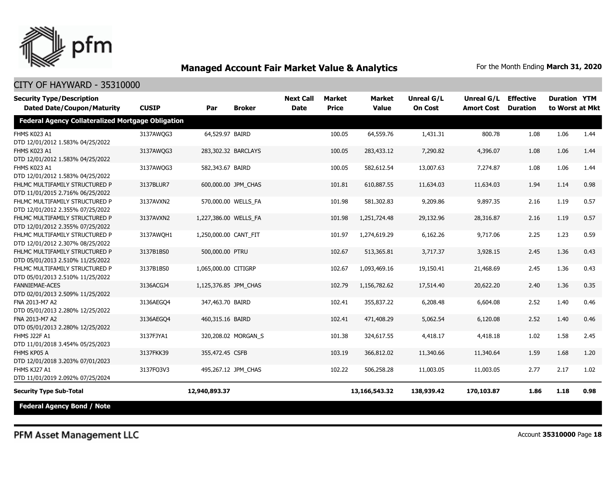

| <b>Security Type/Description</b><br><b>Dated Date/Coupon/Maturity</b> | <b>CUSIP</b> | Par                   | <b>Broker</b>       | <b>Next Call</b><br><b>Date</b> | <b>Market</b><br><b>Price</b> | <b>Market</b><br><b>Value</b> | <b>Unreal G/L</b><br><b>On Cost</b> | <b>Unreal G/L</b><br><b>Amort Cost</b> | <b>Effective</b><br><b>Duration</b> | <b>Duration YTM</b><br>to Worst at Mkt |      |
|-----------------------------------------------------------------------|--------------|-----------------------|---------------------|---------------------------------|-------------------------------|-------------------------------|-------------------------------------|----------------------------------------|-------------------------------------|----------------------------------------|------|
|                                                                       |              |                       |                     |                                 |                               |                               |                                     |                                        |                                     |                                        |      |
| <b>Federal Agency Collateralized Mortgage Obligation</b>              |              |                       |                     |                                 |                               |                               |                                     |                                        |                                     |                                        |      |
| FHMS K023 A1                                                          | 3137AWQG3    | 64,529.97 BAIRD       |                     |                                 | 100.05                        | 64,559.76                     | 1,431.31                            | 800.78                                 | 1.08                                | 1.06                                   | 1.44 |
| DTD 12/01/2012 1.583% 04/25/2022                                      |              |                       |                     |                                 |                               |                               |                                     |                                        |                                     |                                        |      |
| FHMS K023 A1                                                          | 3137AWQG3    | 283,302.32 BARCLAYS   |                     |                                 | 100.05                        | 283,433.12                    | 7,290.82                            | 4,396.07                               | 1.08                                | 1.06                                   | 1.44 |
| DTD 12/01/2012 1.583% 04/25/2022                                      |              |                       |                     |                                 |                               |                               |                                     |                                        |                                     |                                        |      |
| FHMS K023 A1                                                          | 3137AWQG3    | 582,343.67 BAIRD      |                     |                                 | 100.05                        | 582,612.54                    | 13,007.63                           | 7,274.87                               | 1.08                                | 1.06                                   | 1.44 |
| DTD 12/01/2012 1.583% 04/25/2022                                      |              |                       |                     |                                 |                               |                               |                                     |                                        |                                     |                                        |      |
| FHLMC MULTIFAMILY STRUCTURED P                                        | 3137BLUR7    |                       | 600,000.00 JPM_CHAS |                                 | 101.81                        | 610,887.55                    | 11,634.03                           | 11,634.03                              | 1.94                                | 1.14                                   | 0.98 |
| DTD 11/01/2015 2.716% 06/25/2022                                      |              |                       |                     |                                 |                               |                               |                                     |                                        |                                     |                                        |      |
| FHLMC MULTIFAMILY STRUCTURED P                                        | 3137AVXN2    | 570,000.00 WELLS_FA   |                     |                                 | 101.98                        | 581,302.83                    | 9,209.86                            | 9,897.35                               | 2.16                                | 1.19                                   | 0.57 |
| DTD 12/01/2012 2.355% 07/25/2022                                      |              |                       |                     |                                 |                               |                               |                                     |                                        |                                     |                                        |      |
| FHLMC MULTIFAMILY STRUCTURED P                                        | 3137AVXN2    | 1,227,386.00 WELLS FA |                     |                                 | 101.98                        | 1,251,724.48                  | 29,132.96                           | 28,316.87                              | 2.16                                | 1.19                                   | 0.57 |
| DTD 12/01/2012 2.355% 07/25/2022                                      |              |                       |                     |                                 |                               |                               |                                     |                                        |                                     |                                        |      |
| FHLMC MULTIFAMILY STRUCTURED P                                        | 3137AWOH1    | 1,250,000.00 CANT FIT |                     |                                 | 101.97                        | 1,274,619.29                  | 6,162.26                            | 9,717.06                               | 2.25                                | 1.23                                   | 0.59 |
| DTD 12/01/2012 2.307% 08/25/2022                                      |              |                       |                     |                                 |                               |                               |                                     |                                        |                                     |                                        |      |
| FHLMC MULTIFAMILY STRUCTURED P                                        | 3137B1BS0    | 500,000.00 PTRU       |                     |                                 | 102.67                        | 513,365.81                    | 3,717.37                            | 3,928.15                               | 2.45                                | 1.36                                   | 0.43 |
| DTD 05/01/2013 2.510% 11/25/2022                                      |              |                       |                     |                                 |                               |                               |                                     |                                        |                                     |                                        |      |
| FHLMC MULTIFAMILY STRUCTURED P                                        | 3137B1BS0    | 1,065,000.00 CITIGRP  |                     |                                 | 102.67                        | 1,093,469.16                  | 19,150.41                           | 21,468.69                              | 2.45                                | 1.36                                   | 0.43 |
| DTD 05/01/2013 2.510% 11/25/2022                                      |              |                       |                     |                                 |                               |                               |                                     |                                        |                                     |                                        |      |
| <b>FANNIEMAE-ACES</b>                                                 | 3136ACGJ4    | 1,125,376.85 JPM_CHAS |                     |                                 | 102.79                        | 1,156,782.62                  | 17,514.40                           | 20,622.20                              | 2.40                                | 1.36                                   | 0.35 |
| DTD 02/01/2013 2.509% 11/25/2022                                      |              |                       |                     |                                 |                               |                               |                                     |                                        |                                     |                                        |      |
| FNA 2013-M7 A2                                                        | 3136AEGO4    | 347,463.70 BAIRD      |                     |                                 | 102.41                        | 355,837.22                    | 6,208.48                            | 6,604.08                               | 2.52                                | 1.40                                   | 0.46 |
| DTD 05/01/2013 2.280% 12/25/2022                                      |              |                       |                     |                                 |                               |                               |                                     |                                        |                                     |                                        |      |
| FNA 2013-M7 A2                                                        | 3136AEGO4    | 460,315.16 BAIRD      |                     |                                 | 102.41                        | 471,408.29                    | 5,062.54                            | 6,120.08                               | 2.52                                | 1.40                                   | 0.46 |
| DTD 05/01/2013 2.280% 12/25/2022                                      |              |                       |                     |                                 |                               |                               |                                     |                                        |                                     |                                        |      |
| <b>FHMS J22F A1</b>                                                   | 3137FJYA1    |                       | 320,208.02 MORGAN_S |                                 | 101.38                        | 324,617.55                    | 4,418.17                            | 4,418.18                               | 1.02                                | 1.58                                   | 2.45 |
| DTD 11/01/2018 3.454% 05/25/2023                                      |              |                       |                     |                                 |                               |                               |                                     |                                        |                                     |                                        |      |
| FHMS KP05 A                                                           | 3137FKK39    | 355,472.45 CSFB       |                     |                                 | 103.19                        | 366,812.02                    | 11,340.66                           | 11,340.64                              | 1.59                                | 1.68                                   | 1.20 |
| DTD 12/01/2018 3.203% 07/01/2023                                      |              |                       |                     |                                 |                               |                               |                                     |                                        |                                     |                                        |      |
| FHMS KJ27 A1                                                          | 3137FO3V3    |                       | 495,267.12 JPM_CHAS |                                 | 102.22                        | 506,258.28                    | 11,003.05                           | 11,003.05                              | 2.77                                | 2.17                                   | 1.02 |
| DTD 11/01/2019 2.092% 07/25/2024                                      |              |                       |                     |                                 |                               |                               |                                     |                                        |                                     |                                        |      |
| <b>Security Type Sub-Total</b>                                        |              | 12,940,893.37         |                     |                                 |                               | 13,166,543.32                 | 138,939.42                          | 170,103.87                             | 1.86                                | 1.18                                   | 0.98 |
| <b>Federal Agency Bond / Note</b>                                     |              |                       |                     |                                 |                               |                               |                                     |                                        |                                     |                                        |      |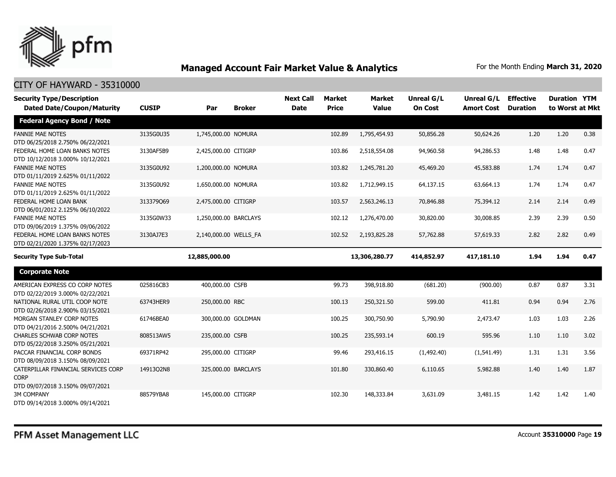

| <b>Security Type/Description</b>                                                       |              |                       |                     | <b>Next Call</b> | Market       | <b>Market</b> | Unreal G/L     | Unreal G/L        | <b>Effective</b> | <b>Duration YTM</b> |      |
|----------------------------------------------------------------------------------------|--------------|-----------------------|---------------------|------------------|--------------|---------------|----------------|-------------------|------------------|---------------------|------|
| <b>Dated Date/Coupon/Maturity</b>                                                      | <b>CUSIP</b> | Par                   | <b>Broker</b>       | <b>Date</b>      | <b>Price</b> | <b>Value</b>  | <b>On Cost</b> | <b>Amort Cost</b> | <b>Duration</b>  | to Worst at Mkt     |      |
| <b>Federal Agency Bond / Note</b>                                                      |              |                       |                     |                  |              |               |                |                   |                  |                     |      |
| <b>FANNIE MAE NOTES</b><br>DTD 06/25/2018 2.750% 06/22/2021                            | 3135G0U35    | 1,745,000.00 NOMURA   |                     |                  | 102.89       | 1,795,454.93  | 50,856.28      | 50,624.26         | 1.20             | 1.20                | 0.38 |
| FEDERAL HOME LOAN BANKS NOTES<br>DTD 10/12/2018 3.000% 10/12/2021                      | 3130AF5B9    | 2,425,000.00 CITIGRP  |                     |                  | 103.86       | 2,518,554.08  | 94,960.58      | 94,286.53         | 1.48             | 1.48                | 0.47 |
| <b>FANNIE MAE NOTES</b><br>DTD 01/11/2019 2.625% 01/11/2022                            | 3135G0U92    | 1,200,000.00 NOMURA   |                     |                  | 103.82       | 1,245,781.20  | 45,469.20      | 45,583.88         | 1.74             | 1.74                | 0.47 |
| <b>FANNIE MAE NOTES</b><br>DTD 01/11/2019 2.625% 01/11/2022                            | 3135G0U92    | 1,650,000.00 NOMURA   |                     |                  | 103.82       | 1,712,949.15  | 64,137.15      | 63,664.13         | 1.74             | 1.74                | 0.47 |
| FEDERAL HOME LOAN BANK<br>DTD 06/01/2012 2.125% 06/10/2022                             | 313379069    | 2,475,000.00 CITIGRP  |                     |                  | 103.57       | 2,563,246.13  | 70,846.88      | 75,394.12         | 2.14             | 2.14                | 0.49 |
| <b>FANNIE MAE NOTES</b><br>DTD 09/06/2019 1.375% 09/06/2022                            | 3135G0W33    | 1,250,000.00 BARCLAYS |                     |                  | 102.12       | 1,276,470.00  | 30,820.00      | 30,008.85         | 2.39             | 2.39                | 0.50 |
| FEDERAL HOME LOAN BANKS NOTES<br>DTD 02/21/2020 1.375% 02/17/2023                      | 3130AJ7E3    | 2,140,000.00 WELLS_FA |                     |                  | 102.52       | 2,193,825.28  | 57,762.88      | 57,619.33         | 2.82             | 2.82                | 0.49 |
| <b>Security Type Sub-Total</b>                                                         |              | 12,885,000.00         |                     |                  |              | 13,306,280.77 | 414,852.97     | 417,181.10        | 1.94             | 1.94                | 0.47 |
| <b>Corporate Note</b>                                                                  |              |                       |                     |                  |              |               |                |                   |                  |                     |      |
| AMERICAN EXPRESS CO CORP NOTES<br>DTD 02/22/2019 3.000% 02/22/2021                     | 025816CB3    | 400,000.00 CSFB       |                     |                  | 99.73        | 398,918.80    | (681.20)       | (900.00)          | 0.87             | 0.87                | 3.31 |
| NATIONAL RURAL UTIL COOP NOTE<br>DTD 02/26/2018 2.900% 03/15/2021                      | 63743HER9    | 250,000.00 RBC        |                     |                  | 100.13       | 250,321.50    | 599.00         | 411.81            | 0.94             | 0.94                | 2.76 |
| MORGAN STANLEY CORP NOTES<br>DTD 04/21/2016 2.500% 04/21/2021                          | 61746BEA0    |                       | 300,000.00 GOLDMAN  |                  | 100.25       | 300,750.90    | 5,790.90       | 2,473.47          | 1.03             | 1.03                | 2.26 |
| <b>CHARLES SCHWAB CORP NOTES</b><br>DTD 05/22/2018 3.250% 05/21/2021                   | 808513AW5    | 235,000.00 CSFB       |                     |                  | 100.25       | 235,593.14    | 600.19         | 595.96            | 1.10             | 1.10                | 3.02 |
| PACCAR FINANCIAL CORP BONDS<br>DTD 08/09/2018 3.150% 08/09/2021                        | 69371RP42    | 295,000.00 CITIGRP    |                     |                  | 99.46        | 293,416.15    | (1,492.40)     | (1,541.49)        | 1.31             | 1.31                | 3.56 |
| CATERPILLAR FINANCIAL SERVICES CORP<br><b>CORP</b><br>DTD 09/07/2018 3.150% 09/07/2021 | 14913Q2N8    |                       | 325,000.00 BARCLAYS |                  | 101.80       | 330,860.40    | 6,110.65       | 5,982.88          | 1.40             | 1.40                | 1.87 |
| <b>3M COMPANY</b><br>DTD 09/14/2018 3.000% 09/14/2021                                  | 88579YBA8    | 145,000.00 CITIGRP    |                     |                  | 102.30       | 148,333.84    | 3,631.09       | 3,481.15          | 1.42             | 1.42                | 1.40 |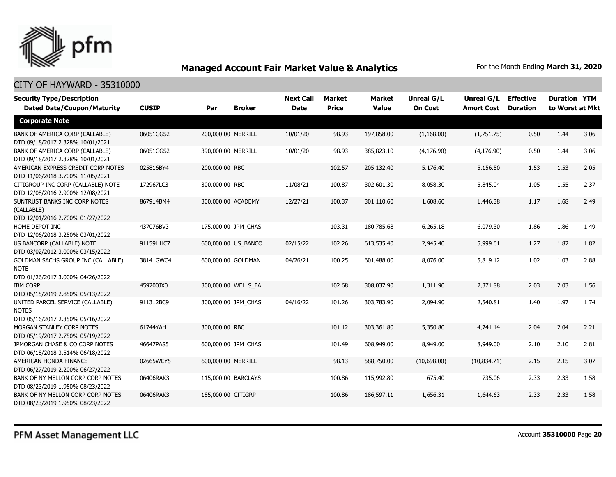

| <b>Security Type/Description</b><br><b>Dated Date/Coupon/Maturity</b>                 | <b>CUSIP</b> | Par                | <b>Broker</b>       | <b>Next Call</b><br><b>Date</b> | <b>Market</b><br><b>Price</b> | Market<br><b>Value</b> | <b>Unreal G/L</b><br><b>On Cost</b> | Unreal G/L<br><b>Amort Cost</b> | <b>Effective</b><br><b>Duration</b> | <b>Duration YTM</b><br>to Worst at Mkt |      |
|---------------------------------------------------------------------------------------|--------------|--------------------|---------------------|---------------------------------|-------------------------------|------------------------|-------------------------------------|---------------------------------|-------------------------------------|----------------------------------------|------|
| <b>Corporate Note</b>                                                                 |              |                    |                     |                                 |                               |                        |                                     |                                 |                                     |                                        |      |
| BANK OF AMERICA CORP (CALLABLE)<br>DTD 09/18/2017 2.328% 10/01/2021                   | 06051GGS2    | 200,000.00 MERRILL |                     | 10/01/20                        | 98.93                         | 197,858.00             | (1, 168.00)                         | (1,751.75)                      | 0.50                                | 1.44                                   | 3.06 |
| BANK OF AMERICA CORP (CALLABLE)<br>DTD 09/18/2017 2.328% 10/01/2021                   | 06051GGS2    | 390,000.00 MERRILL |                     | 10/01/20                        | 98.93                         | 385,823.10             | (4, 176.90)                         | (4, 176.90)                     | 0.50                                | 1.44                                   | 3.06 |
| AMERICAN EXPRESS CREDIT CORP NOTES<br>DTD 11/06/2018 3.700% 11/05/2021                | 025816BY4    | 200,000.00 RBC     |                     |                                 | 102.57                        | 205,132.40             | 5,176.40                            | 5,156.50                        | 1.53                                | 1.53                                   | 2.05 |
| CITIGROUP INC CORP (CALLABLE) NOTE<br>DTD 12/08/2016 2.900% 12/08/2021                | 172967LC3    | 300,000.00 RBC     |                     | 11/08/21                        | 100.87                        | 302,601.30             | 8,058.30                            | 5,845.04                        | 1.05                                | 1.55                                   | 2.37 |
| SUNTRUST BANKS INC CORP NOTES<br>(CALLABLE)<br>DTD 12/01/2016 2.700% 01/27/2022       | 867914BM4    | 300,000.00 ACADEMY |                     | 12/27/21                        | 100.37                        | 301,110.60             | 1,608.60                            | 1,446.38                        | 1.17                                | 1.68                                   | 2.49 |
| HOME DEPOT INC<br>DTD 12/06/2018 3.250% 03/01/2022                                    | 437076BV3    |                    | 175,000.00 JPM_CHAS |                                 | 103.31                        | 180,785.68             | 6,265.18                            | 6,079.30                        | 1.86                                | 1.86                                   | 1.49 |
| US BANCORP (CALLABLE) NOTE<br>DTD 03/02/2012 3.000% 03/15/2022                        | 91159HHC7    |                    | 600,000.00 US_BANCO | 02/15/22                        | 102.26                        | 613,535.40             | 2,945.40                            | 5,999.61                        | 1.27                                | 1.82                                   | 1.82 |
| GOLDMAN SACHS GROUP INC (CALLABLE)<br><b>NOTE</b><br>DTD 01/26/2017 3.000% 04/26/2022 | 38141GWC4    |                    | 600,000.00 GOLDMAN  | 04/26/21                        | 100.25                        | 601,488.00             | 8,076.00                            | 5,819.12                        | 1.02                                | 1.03                                   | 2.88 |
| <b>IBM CORP</b><br>DTD 05/15/2019 2.850% 05/13/2022                                   | 459200JX0    |                    | 300,000.00 WELLS_FA |                                 | 102.68                        | 308,037.90             | 1,311.90                            | 2,371.88                        | 2.03                                | 2.03                                   | 1.56 |
| UNITED PARCEL SERVICE (CALLABLE)<br><b>NOTES</b><br>DTD 05/16/2017 2.350% 05/16/2022  | 911312BC9    |                    | 300,000.00 JPM CHAS | 04/16/22                        | 101.26                        | 303,783.90             | 2,094.90                            | 2,540.81                        | 1.40                                | 1.97                                   | 1.74 |
| MORGAN STANLEY CORP NOTES<br>DTD 05/19/2017 2.750% 05/19/2022                         | 61744YAH1    | 300,000.00 RBC     |                     |                                 | 101.12                        | 303,361.80             | 5,350.80                            | 4,741.14                        | 2.04                                | 2.04                                   | 2.21 |
| JPMORGAN CHASE & CO CORP NOTES<br>DTD 06/18/2018 3.514% 06/18/2022                    | 46647PAS5    |                    | 600,000.00 JPM CHAS |                                 | 101.49                        | 608,949.00             | 8,949.00                            | 8,949.00                        | 2.10                                | 2.10                                   | 2.81 |
| AMERICAN HONDA FINANCE<br>DTD 06/27/2019 2.200% 06/27/2022                            | 02665WCY5    | 600,000.00 MERRILL |                     |                                 | 98.13                         | 588,750.00             | (10,698.00)                         | (10, 834.71)                    | 2.15                                | 2.15                                   | 3.07 |
| BANK OF NY MELLON CORP CORP NOTES<br>DTD 08/23/2019 1.950% 08/23/2022                 | 06406RAK3    |                    | 115,000.00 BARCLAYS |                                 | 100.86                        | 115,992.80             | 675.40                              | 735.06                          | 2.33                                | 2.33                                   | 1.58 |
| BANK OF NY MELLON CORP CORP NOTES<br>DTD 08/23/2019 1.950% 08/23/2022                 | 06406RAK3    | 185,000.00 CITIGRP |                     |                                 | 100.86                        | 186,597.11             | 1,656.31                            | 1,644.63                        | 2.33                                | 2.33                                   | 1.58 |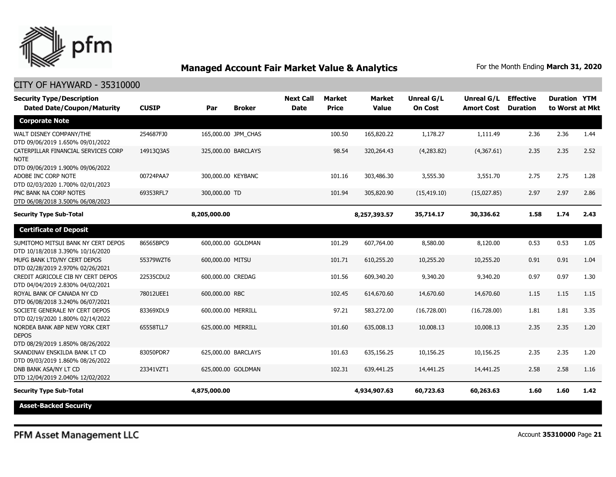

| <b>Security Type/Description</b><br><b>Dated Date/Coupon/Maturity</b>                  | <b>CUSIP</b> | Par                 | <b>Broker</b> | <b>Next Call</b><br><b>Date</b> | <b>Market</b><br><b>Price</b> | <b>Market</b><br><b>Value</b> | <b>Unreal G/L</b><br><b>On Cost</b> | Unreal G/L<br><b>Amort Cost</b> | <b>Effective</b><br><b>Duration</b> | <b>Duration YTM</b><br>to Worst at Mkt |      |
|----------------------------------------------------------------------------------------|--------------|---------------------|---------------|---------------------------------|-------------------------------|-------------------------------|-------------------------------------|---------------------------------|-------------------------------------|----------------------------------------|------|
| <b>Corporate Note</b>                                                                  |              |                     |               |                                 |                               |                               |                                     |                                 |                                     |                                        |      |
| WALT DISNEY COMPANY/THE<br>DTD 09/06/2019 1.650% 09/01/2022                            | 254687FJ0    | 165,000.00 JPM_CHAS |               |                                 | 100.50                        | 165,820.22                    | 1,178.27                            | 1,111.49                        | 2.36                                | 2.36                                   | 1.44 |
| CATERPILLAR FINANCIAL SERVICES CORP<br><b>NOTE</b><br>DTD 09/06/2019 1.900% 09/06/2022 | 14913Q3A5    | 325,000.00 BARCLAYS |               |                                 | 98.54                         | 320,264.43                    | (4,283.82)                          | (4,367.61)                      | 2.35                                | 2.35                                   | 2.52 |
| ADOBE INC CORP NOTE<br>DTD 02/03/2020 1.700% 02/01/2023                                | 00724PAA7    | 300,000.00 KEYBANC  |               |                                 | 101.16                        | 303,486.30                    | 3,555.30                            | 3,551.70                        | 2.75                                | 2.75                                   | 1.28 |
| PNC BANK NA CORP NOTES<br>DTD 06/08/2018 3.500% 06/08/2023                             | 69353RFL7    | 300,000.00 TD       |               |                                 | 101.94                        | 305,820.90                    | (15, 419.10)                        | (15,027.85)                     | 2.97                                | 2.97                                   | 2.86 |
| <b>Security Type Sub-Total</b>                                                         |              | 8,205,000.00        |               |                                 |                               | 8,257,393.57                  | 35,714.17                           | 30,336.62                       | 1.58                                | 1.74                                   | 2.43 |
| <b>Certificate of Deposit</b>                                                          |              |                     |               |                                 |                               |                               |                                     |                                 |                                     |                                        |      |
| SUMITOMO MITSUI BANK NY CERT DEPOS<br>DTD 10/18/2018 3.390% 10/16/2020                 | 86565BPC9    | 600,000.00 GOLDMAN  |               |                                 | 101.29                        | 607,764.00                    | 8,580.00                            | 8,120.00                        | 0.53                                | 0.53                                   | 1.05 |
| MUFG BANK LTD/NY CERT DEPOS<br>DTD 02/28/2019 2.970% 02/26/2021                        | 55379WZT6    | 600,000.00 MITSU    |               |                                 | 101.71                        | 610,255.20                    | 10,255.20                           | 10,255.20                       | 0.91                                | 0.91                                   | 1.04 |
| CREDIT AGRICOLE CIB NY CERT DEPOS<br>DTD 04/04/2019 2.830% 04/02/2021                  | 22535CDU2    | 600,000.00 CREDAG   |               |                                 | 101.56                        | 609,340.20                    | 9,340.20                            | 9,340.20                        | 0.97                                | 0.97                                   | 1.30 |
| ROYAL BANK OF CANADA NY CD<br>DTD 06/08/2018 3.240% 06/07/2021                         | 78012UEE1    | 600,000.00 RBC      |               |                                 | 102.45                        | 614,670.60                    | 14,670.60                           | 14,670.60                       | 1.15                                | 1.15                                   | 1.15 |
| SOCIETE GENERALE NY CERT DEPOS<br>DTD 02/19/2020 1.800% 02/14/2022                     | 83369XDL9    | 600,000.00 MERRILL  |               |                                 | 97.21                         | 583,272.00                    | (16,728.00)                         | (16,728.00)                     | 1.81                                | 1.81                                   | 3.35 |
| NORDEA BANK ABP NEW YORK CERT<br><b>DEPOS</b><br>DTD 08/29/2019 1.850% 08/26/2022      | 65558TLL7    | 625,000.00 MERRILL  |               |                                 | 101.60                        | 635,008.13                    | 10,008.13                           | 10,008.13                       | 2.35                                | 2.35                                   | 1.20 |
| SKANDINAV ENSKILDA BANK LT CD<br>DTD 09/03/2019 1.860% 08/26/2022                      | 83050PDR7    | 625,000.00 BARCLAYS |               |                                 | 101.63                        | 635,156.25                    | 10,156.25                           | 10,156.25                       | 2.35                                | 2.35                                   | 1.20 |
| DNB BANK ASA/NY LT CD<br>DTD 12/04/2019 2.040% 12/02/2022                              | 23341VZT1    | 625,000.00 GOLDMAN  |               |                                 | 102.31                        | 639,441.25                    | 14,441.25                           | 14,441.25                       | 2.58                                | 2.58                                   | 1.16 |
| <b>Security Type Sub-Total</b>                                                         |              | 4,875,000.00        |               |                                 |                               | 4,934,907.63                  | 60,723.63                           | 60,263.63                       | 1.60                                | 1.60                                   | 1.42 |
| <b>Asset-Backed Security</b>                                                           |              |                     |               |                                 |                               |                               |                                     |                                 |                                     |                                        |      |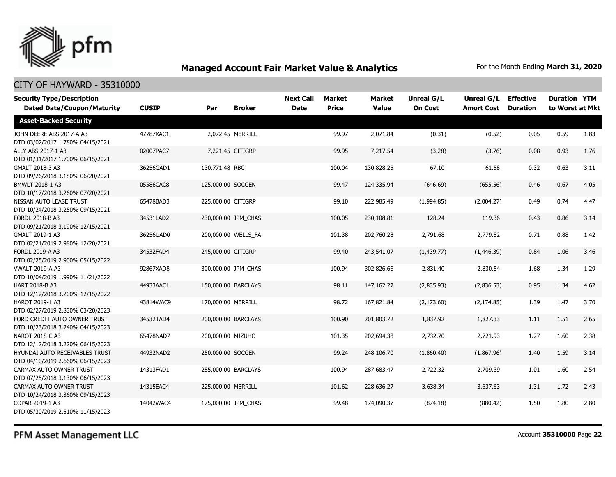

## CITY OF HAYWARD - 35310000

| <b>Security Type/Description</b><br><b>Dated Date/Coupon/Maturity</b> | <b>CUSIP</b> | Par                | <b>Broker</b>       | <b>Next Call</b><br><b>Date</b> | Market<br><b>Price</b> | <b>Market</b><br><b>Value</b> | <b>Unreal G/L</b><br><b>On Cost</b> | Unreal G/L<br><b>Amort Cost</b> | <b>Effective</b><br><b>Duration</b> | <b>Duration YTM</b><br>to Worst at Mkt |      |
|-----------------------------------------------------------------------|--------------|--------------------|---------------------|---------------------------------|------------------------|-------------------------------|-------------------------------------|---------------------------------|-------------------------------------|----------------------------------------|------|
| <b>Asset-Backed Security</b>                                          |              |                    |                     |                                 |                        |                               |                                     |                                 |                                     |                                        |      |
| JOHN DEERE ABS 2017-A A3<br>DTD 03/02/2017 1.780% 04/15/2021          | 47787XAC1    |                    | 2,072.45 MERRILL    |                                 | 99.97                  | 2,071.84                      | (0.31)                              | (0.52)                          | 0.05                                | 0.59                                   | 1.83 |
| ALLY ABS 2017-1 A3<br>DTD 01/31/2017 1.700% 06/15/2021                | 02007PAC7    |                    | 7,221.45 CITIGRP    |                                 | 99.95                  | 7,217.54                      | (3.28)                              | (3.76)                          | 0.08                                | 0.93                                   | 1.76 |
| GMALT 2018-3 A3<br>DTD 09/26/2018 3.180% 06/20/2021                   | 36256GAD1    | 130,771.48 RBC     |                     |                                 | 100.04                 | 130,828.25                    | 67.10                               | 61.58                           | 0.32                                | 0.63                                   | 3.11 |
| BMWLT 2018-1 A3<br>DTD 10/17/2018 3.260% 07/20/2021                   | 05586CAC8    | 125,000.00 SOCGEN  |                     |                                 | 99.47                  | 124,335.94                    | (646.69)                            | (655.56)                        | 0.46                                | 0.67                                   | 4.05 |
| NISSAN AUTO LEASE TRUST<br>DTD 10/24/2018 3.250% 09/15/2021           | 65478BAD3    | 225,000.00 CITIGRP |                     |                                 | 99.10                  | 222,985.49                    | (1,994.85)                          | (2,004.27)                      | 0.49                                | 0.74                                   | 4.47 |
| FORDL 2018-B A3<br>DTD 09/21/2018 3.190% 12/15/2021                   | 34531LAD2    |                    | 230,000.00 JPM_CHAS |                                 | 100.05                 | 230,108.81                    | 128.24                              | 119.36                          | 0.43                                | 0.86                                   | 3.14 |
| GMALT 2019-1 A3<br>DTD 02/21/2019 2.980% 12/20/2021                   | 36256UAD0    |                    | 200,000.00 WELLS_FA |                                 | 101.38                 | 202,760.28                    | 2,791.68                            | 2,779.82                        | 0.71                                | 0.88                                   | 1.42 |
| FORDL 2019-A A3<br>DTD 02/25/2019 2.900% 05/15/2022                   | 34532FAD4    | 245,000.00 CITIGRP |                     |                                 | 99.40                  | 243,541.07                    | (1, 439.77)                         | (1,446.39)                      | 0.84                                | 1.06                                   | 3.46 |
| <b>VWALT 2019-A A3</b><br>DTD 10/04/2019 1.990% 11/21/2022            | 92867XAD8    |                    | 300,000.00 JPM CHAS |                                 | 100.94                 | 302,826.66                    | 2,831.40                            | 2,830.54                        | 1.68                                | 1.34                                   | 1.29 |
| HART 2018-B A3<br>DTD 12/12/2018 3.200% 12/15/2022                    | 44933AAC1    |                    | 150,000.00 BARCLAYS |                                 | 98.11                  | 147,162.27                    | (2,835.93)                          | (2,836.53)                      | 0.95                                | 1.34                                   | 4.62 |
| HAROT 2019-1 A3<br>DTD 02/27/2019 2.830% 03/20/2023                   | 43814WAC9    | 170,000.00 MERRILL |                     |                                 | 98.72                  | 167,821.84                    | (2, 173.60)                         | (2, 174.85)                     | 1.39                                | 1.47                                   | 3.70 |
| FORD CREDIT AUTO OWNER TRUST<br>DTD 10/23/2018 3.240% 04/15/2023      | 34532TAD4    |                    | 200,000.00 BARCLAYS |                                 | 100.90                 | 201,803.72                    | 1,837.92                            | 1,827.33                        | 1.11                                | 1.51                                   | 2.65 |
| NAROT 2018-C A3<br>DTD 12/12/2018 3.220% 06/15/2023                   | 65478NAD7    | 200,000.00 MIZUHO  |                     |                                 | 101.35                 | 202,694.38                    | 2,732.70                            | 2,721.93                        | 1.27                                | 1.60                                   | 2.38 |
| HYUNDAI AUTO RECEIVABLES TRUST<br>DTD 04/10/2019 2.660% 06/15/2023    | 44932NAD2    | 250,000.00 SOCGEN  |                     |                                 | 99.24                  | 248,106.70                    | (1,860.40)                          | (1,867.96)                      | 1.40                                | 1.59                                   | 3.14 |
| CARMAX AUTO OWNER TRUST<br>DTD 07/25/2018 3.130% 06/15/2023           | 14313FAD1    |                    | 285,000.00 BARCLAYS |                                 | 100.94                 | 287,683.47                    | 2,722.32                            | 2,709.39                        | 1.01                                | 1.60                                   | 2.54 |
| CARMAX AUTO OWNER TRUST<br>DTD 10/24/2018 3.360% 09/15/2023           | 14315EAC4    | 225,000.00 MERRILL |                     |                                 | 101.62                 | 228,636.27                    | 3,638.34                            | 3,637.63                        | 1.31                                | 1.72                                   | 2.43 |
| COPAR 2019-1 A3<br>DTD 05/30/2019 2.510% 11/15/2023                   | 14042WAC4    |                    | 175,000.00 JPM CHAS |                                 | 99.48                  | 174,090.37                    | (874.18)                            | (880.42)                        | 1.50                                | 1.80                                   | 2.80 |

PFM Asset Management LLC

Account **35310000** Page **22**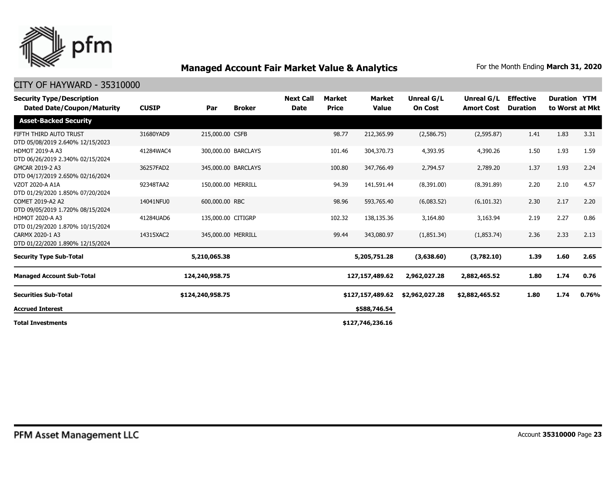

| <b>Security Type/Description</b><br><b>Dated Date/Coupon/Maturity</b> | <b>CUSIP</b> | Par                | <b>Broker</b>       | <b>Next Call</b><br><b>Date</b> | <b>Market</b><br><b>Price</b> | Market<br><b>Value</b> | Unreal G/L<br><b>On Cost</b> | Unreal G/L<br><b>Amort Cost</b> | <b>Effective</b><br><b>Duration</b> | <b>Duration YTM</b> | to Worst at Mkt |
|-----------------------------------------------------------------------|--------------|--------------------|---------------------|---------------------------------|-------------------------------|------------------------|------------------------------|---------------------------------|-------------------------------------|---------------------|-----------------|
| <b>Asset-Backed Security</b>                                          |              |                    |                     |                                 |                               |                        |                              |                                 |                                     |                     |                 |
| FIFTH THIRD AUTO TRUST<br>DTD 05/08/2019 2.640% 12/15/2023            | 31680YAD9    | 215,000.00 CSFB    |                     |                                 | 98.77                         | 212,365.99             | (2,586.75)                   | (2,595.87)                      | 1.41                                | 1.83                | 3.31            |
| <b>HDMOT 2019-A A3</b><br>DTD 06/26/2019 2.340% 02/15/2024            | 41284WAC4    |                    | 300,000.00 BARCLAYS |                                 | 101.46                        | 304,370.73             | 4,393.95                     | 4,390.26                        | 1.50                                | 1.93                | 1.59            |
| GMCAR 2019-2 A3<br>DTD 04/17/2019 2.650% 02/16/2024                   | 36257FAD2    |                    | 345,000.00 BARCLAYS |                                 | 100.80                        | 347,766.49             | 2,794.57                     | 2,789.20                        | 1.37                                | 1.93                | 2.24            |
| VZOT 2020-A A1A<br>DTD 01/29/2020 1.850% 07/20/2024                   | 92348TAA2    | 150,000.00 MERRILL |                     |                                 | 94.39                         | 141,591.44             | (8,391.00)                   | (8,391.89)                      | 2.20                                | 2.10                | 4.57            |
| COMET 2019-A2 A2<br>DTD 09/05/2019 1.720% 08/15/2024                  | 14041NFU0    | 600,000.00 RBC     |                     |                                 | 98.96                         | 593,765.40             | (6,083.52)                   | (6, 101.32)                     | 2.30                                | 2.17                | 2.20            |
| <b>HDMOT 2020-A A3</b><br>DTD 01/29/2020 1.870% 10/15/2024            | 41284UAD6    | 135,000.00 CITIGRP |                     |                                 | 102.32                        | 138,135.36             | 3,164.80                     | 3,163.94                        | 2.19                                | 2.27                | 0.86            |
| CARMX 2020-1 A3<br>DTD 01/22/2020 1.890% 12/15/2024                   | 14315XAC2    | 345,000.00 MERRILL |                     |                                 | 99.44                         | 343,080.97             | (1,851.34)                   | (1,853.74)                      | 2.36                                | 2.33                | 2.13            |
| <b>Security Type Sub-Total</b>                                        |              | 5,210,065.38       |                     |                                 |                               | 5,205,751.28           | (3,638.60)                   | (3,782.10)                      | 1.39                                | 1.60                | 2.65            |
| <b>Managed Account Sub-Total</b>                                      |              | 124,240,958.75     |                     |                                 |                               | 127,157,489.62         | 2,962,027.28                 | 2,882,465.52                    | 1.80                                | 1.74                | 0.76            |
| <b>Securities Sub-Total</b>                                           |              | \$124,240,958.75   |                     |                                 |                               | \$127,157,489.62       | \$2,962,027.28               | \$2,882,465.52                  | 1.80                                | 1.74                | 0.76%           |
| <b>Accrued Interest</b>                                               |              |                    |                     |                                 |                               | \$588,746.54           |                              |                                 |                                     |                     |                 |
| <b>Total Investments</b>                                              |              |                    |                     |                                 |                               | \$127,746,236.16       |                              |                                 |                                     |                     |                 |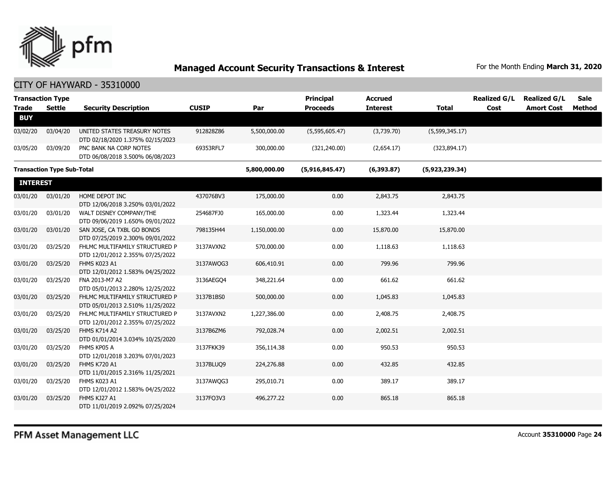

| <b>Transaction Type</b><br><b>Trade</b> | <b>Settle</b>                     | <b>Security Description</b>                                        | <b>CUSIP</b> | Par          | <b>Principal</b><br><b>Proceeds</b> | <b>Accrued</b><br><b>Interest</b> | <b>Total</b>   | <b>Realized G/L</b><br>Cost | <b>Realized G/L</b><br><b>Amort Cost</b> | Sale<br>Method |
|-----------------------------------------|-----------------------------------|--------------------------------------------------------------------|--------------|--------------|-------------------------------------|-----------------------------------|----------------|-----------------------------|------------------------------------------|----------------|
| <b>BUY</b>                              |                                   |                                                                    |              |              |                                     |                                   |                |                             |                                          |                |
| 03/02/20                                | 03/04/20                          | UNITED STATES TREASURY NOTES<br>DTD 02/18/2020 1.375% 02/15/2023   | 912828Z86    | 5,500,000.00 | (5,595,605.47)                      | (3,739.70)                        | (5,599,345.17) |                             |                                          |                |
| 03/05/20                                | 03/09/20                          | PNC BANK NA CORP NOTES<br>DTD 06/08/2018 3.500% 06/08/2023         | 69353RFL7    | 300,000.00   | (321, 240.00)                       | (2,654.17)                        | (323, 894.17)  |                             |                                          |                |
|                                         | <b>Transaction Type Sub-Total</b> |                                                                    |              | 5,800,000.00 | (5,916,845.47)                      | (6,393.87)                        | (5,923,239.34) |                             |                                          |                |
| <b>INTEREST</b>                         |                                   |                                                                    |              |              |                                     |                                   |                |                             |                                          |                |
| 03/01/20                                | 03/01/20                          | HOME DEPOT INC<br>DTD 12/06/2018 3.250% 03/01/2022                 | 437076BV3    | 175,000.00   | 0.00                                | 2,843.75                          | 2,843.75       |                             |                                          |                |
| 03/01/20                                | 03/01/20                          | WALT DISNEY COMPANY/THE<br>DTD 09/06/2019 1.650% 09/01/2022        | 254687FJ0    | 165,000.00   | 0.00                                | 1,323.44                          | 1,323.44       |                             |                                          |                |
| 03/01/20                                | 03/01/20                          | SAN JOSE, CA TXBL GO BONDS<br>DTD 07/25/2019 2.300% 09/01/2022     | 798135H44    | 1,150,000.00 | 0.00                                | 15,870.00                         | 15,870.00      |                             |                                          |                |
| 03/01/20                                | 03/25/20                          | FHLMC MULTIFAMILY STRUCTURED P<br>DTD 12/01/2012 2.355% 07/25/2022 | 3137AVXN2    | 570,000.00   | 0.00                                | 1,118.63                          | 1,118.63       |                             |                                          |                |
| 03/01/20                                | 03/25/20                          | FHMS K023 A1<br>DTD 12/01/2012 1.583% 04/25/2022                   | 3137AWQG3    | 606,410.91   | 0.00                                | 799.96                            | 799.96         |                             |                                          |                |
| 03/01/20                                | 03/25/20                          | FNA 2013-M7 A2<br>DTD 05/01/2013 2.280% 12/25/2022                 | 3136AEGO4    | 348,221.64   | 0.00                                | 661.62                            | 661.62         |                             |                                          |                |
| 03/01/20                                | 03/25/20                          | FHLMC MULTIFAMILY STRUCTURED P<br>DTD 05/01/2013 2.510% 11/25/2022 | 3137B1BS0    | 500,000.00   | 0.00                                | 1,045.83                          | 1,045.83       |                             |                                          |                |
| 03/01/20                                | 03/25/20                          | FHLMC MULTIFAMILY STRUCTURED P<br>DTD 12/01/2012 2.355% 07/25/2022 | 3137AVXN2    | 1,227,386.00 | 0.00                                | 2,408.75                          | 2,408.75       |                             |                                          |                |
| 03/01/20                                | 03/25/20                          | <b>FHMS K714 A2</b><br>DTD 01/01/2014 3.034% 10/25/2020            | 3137B6ZM6    | 792,028.74   | 0.00                                | 2,002.51                          | 2,002.51       |                             |                                          |                |
| 03/01/20                                | 03/25/20                          | FHMS KP05 A<br>DTD 12/01/2018 3.203% 07/01/2023                    | 3137FKK39    | 356,114.38   | 0.00                                | 950.53                            | 950.53         |                             |                                          |                |
| 03/01/20                                | 03/25/20                          | <b>FHMS K720 A1</b><br>DTD 11/01/2015 2.316% 11/25/2021            | 3137BLUQ9    | 224,276.88   | 0.00                                | 432.85                            | 432.85         |                             |                                          |                |
| 03/01/20                                | 03/25/20                          | FHMS K023 A1<br>DTD 12/01/2012 1.583% 04/25/2022                   | 3137AWOG3    | 295,010.71   | 0.00                                | 389.17                            | 389.17         |                             |                                          |                |
| 03/01/20                                | 03/25/20                          | FHMS KJ27 A1<br>DTD 11/01/2019 2.092% 07/25/2024                   | 3137FQ3V3    | 496,277.22   | 0.00                                | 865.18                            | 865.18         |                             |                                          |                |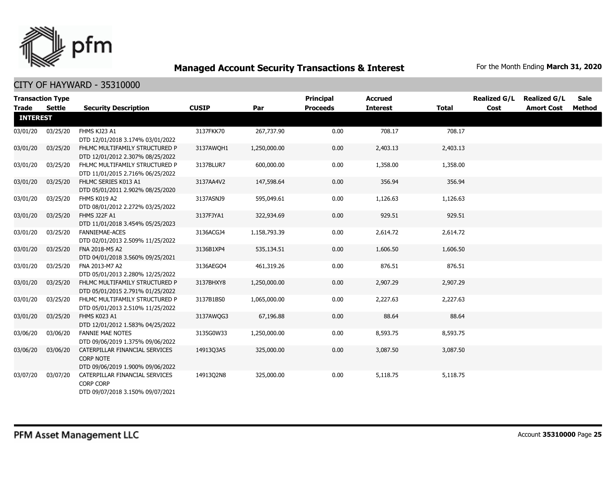

| <b>Trade</b>    | <b>Transaction Type</b><br><b>Settle</b> |                                                                                        | <b>CUSIP</b> | Par          | <b>Principal</b><br><b>Proceeds</b> | <b>Accrued</b><br><b>Interest</b> | <b>Total</b> | <b>Realized G/L</b><br>Cost | <b>Realized G/L</b><br><b>Amort Cost</b> | Sale<br>Method |
|-----------------|------------------------------------------|----------------------------------------------------------------------------------------|--------------|--------------|-------------------------------------|-----------------------------------|--------------|-----------------------------|------------------------------------------|----------------|
| <b>INTEREST</b> |                                          | <b>Security Description</b>                                                            |              |              |                                     |                                   |              |                             |                                          |                |
| 03/01/20        | 03/25/20                                 | FHMS KJ23 A1<br>DTD 12/01/2018 3.174% 03/01/2022                                       | 3137FKK70    | 267,737.90   | 0.00                                | 708.17                            | 708.17       |                             |                                          |                |
| 03/01/20        | 03/25/20                                 | FHLMC MULTIFAMILY STRUCTURED P<br>DTD 12/01/2012 2.307% 08/25/2022                     | 3137AWOH1    | 1,250,000.00 | 0.00                                | 2,403.13                          | 2,403.13     |                             |                                          |                |
| 03/01/20        | 03/25/20                                 | FHLMC MULTIFAMILY STRUCTURED P<br>DTD 11/01/2015 2.716% 06/25/2022                     | 3137BLUR7    | 600,000.00   | 0.00                                | 1,358.00                          | 1,358.00     |                             |                                          |                |
| 03/01/20        | 03/25/20                                 | FHLMC SERIES K013 A1<br>DTD 05/01/2011 2.902% 08/25/2020                               | 3137AA4V2    | 147,598.64   | 0.00                                | 356.94                            | 356.94       |                             |                                          |                |
| 03/01/20        | 03/25/20                                 | FHMS K019 A2<br>DTD 08/01/2012 2.272% 03/25/2022                                       | 3137ASNJ9    | 595,049.61   | 0.00                                | 1,126.63                          | 1,126.63     |                             |                                          |                |
| 03/01/20        | 03/25/20                                 | FHMS J22F A1<br>DTD 11/01/2018 3.454% 05/25/2023                                       | 3137FJYA1    | 322,934.69   | 0.00                                | 929.51                            | 929.51       |                             |                                          |                |
| 03/01/20        | 03/25/20                                 | <b>FANNIEMAE-ACES</b><br>DTD 02/01/2013 2.509% 11/25/2022                              | 3136ACGJ4    | 1,158,793.39 | 0.00                                | 2,614.72                          | 2,614.72     |                             |                                          |                |
| 03/01/20        | 03/25/20                                 | FNA 2018-M5 A2<br>DTD 04/01/2018 3.560% 09/25/2021                                     | 3136B1XP4    | 535,134.51   | 0.00                                | 1,606.50                          | 1,606.50     |                             |                                          |                |
| 03/01/20        | 03/25/20                                 | FNA 2013-M7 A2<br>DTD 05/01/2013 2.280% 12/25/2022                                     | 3136AEGO4    | 461,319.26   | 0.00                                | 876.51                            | 876.51       |                             |                                          |                |
| 03/01/20        | 03/25/20                                 | FHLMC MULTIFAMILY STRUCTURED P<br>DTD 05/01/2015 2.791% 01/25/2022                     | 3137BHXY8    | 1,250,000.00 | 0.00                                | 2,907.29                          | 2,907.29     |                             |                                          |                |
| 03/01/20        | 03/25/20                                 | FHLMC MULTIFAMILY STRUCTURED P<br>DTD 05/01/2013 2.510% 11/25/2022                     | 3137B1BS0    | 1,065,000.00 | 0.00                                | 2,227.63                          | 2,227.63     |                             |                                          |                |
| 03/01/20        | 03/25/20                                 | FHMS K023 A1<br>DTD 12/01/2012 1.583% 04/25/2022                                       | 3137AWQG3    | 67,196.88    | 0.00                                | 88.64                             | 88.64        |                             |                                          |                |
| 03/06/20        | 03/06/20                                 | <b>FANNIE MAE NOTES</b><br>DTD 09/06/2019 1.375% 09/06/2022                            | 3135G0W33    | 1,250,000.00 | 0.00                                | 8,593.75                          | 8,593.75     |                             |                                          |                |
| 03/06/20        | 03/06/20                                 | CATERPILLAR FINANCIAL SERVICES<br><b>CORP NOTE</b><br>DTD 09/06/2019 1.900% 09/06/2022 | 14913Q3A5    | 325,000.00   | 0.00                                | 3,087.50                          | 3,087.50     |                             |                                          |                |
| 03/07/20        | 03/07/20                                 | CATERPILLAR FINANCIAL SERVICES<br><b>CORP CORP</b><br>DTD 09/07/2018 3.150% 09/07/2021 | 14913Q2N8    | 325,000.00   | 0.00                                | 5,118.75                          | 5,118.75     |                             |                                          |                |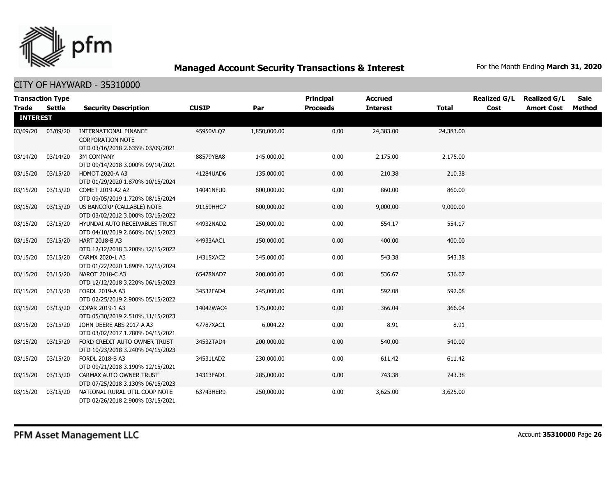

|                 | <b>Transaction Type</b> |                                                                                      |              |              | <b>Principal</b> | <b>Accrued</b>  |              | <b>Realized G/L</b> | <b>Realized G/L</b> | <b>Sale</b>   |
|-----------------|-------------------------|--------------------------------------------------------------------------------------|--------------|--------------|------------------|-----------------|--------------|---------------------|---------------------|---------------|
| <b>Trade</b>    | Settle                  | <b>Security Description</b>                                                          | <b>CUSIP</b> | Par          | <b>Proceeds</b>  | <b>Interest</b> | <b>Total</b> | Cost                | <b>Amort Cost</b>   | <b>Method</b> |
| <b>INTEREST</b> |                         |                                                                                      |              |              |                  |                 |              |                     |                     |               |
| 03/09/20        | 03/09/20                | INTERNATIONAL FINANCE<br><b>CORPORATION NOTE</b><br>DTD 03/16/2018 2.635% 03/09/2021 | 45950VLQ7    | 1,850,000.00 | 0.00             | 24,383.00       | 24,383.00    |                     |                     |               |
| 03/14/20        | 03/14/20                | <b>3M COMPANY</b><br>DTD 09/14/2018 3.000% 09/14/2021                                | 88579YBA8    | 145,000.00   | 0.00             | 2,175.00        | 2,175.00     |                     |                     |               |
| 03/15/20        | 03/15/20                | <b>HDMOT 2020-A A3</b><br>DTD 01/29/2020 1.870% 10/15/2024                           | 41284UAD6    | 135,000.00   | 0.00             | 210.38          | 210.38       |                     |                     |               |
| 03/15/20        | 03/15/20                | COMET 2019-A2 A2<br>DTD 09/05/2019 1.720% 08/15/2024                                 | 14041NFU0    | 600,000.00   | 0.00             | 860.00          | 860.00       |                     |                     |               |
| 03/15/20        | 03/15/20                | US BANCORP (CALLABLE) NOTE<br>DTD 03/02/2012 3.000% 03/15/2022                       | 91159HHC7    | 600,000.00   | 0.00             | 9,000.00        | 9,000.00     |                     |                     |               |
| 03/15/20        | 03/15/20                | HYUNDAI AUTO RECEIVABLES TRUST<br>DTD 04/10/2019 2.660% 06/15/2023                   | 44932NAD2    | 250,000.00   | 0.00             | 554.17          | 554.17       |                     |                     |               |
| 03/15/20        | 03/15/20                | HART 2018-B A3<br>DTD 12/12/2018 3.200% 12/15/2022                                   | 44933AAC1    | 150,000.00   | 0.00             | 400.00          | 400.00       |                     |                     |               |
| 03/15/20        | 03/15/20                | CARMX 2020-1 A3<br>DTD 01/22/2020 1.890% 12/15/2024                                  | 14315XAC2    | 345,000.00   | 0.00             | 543.38          | 543.38       |                     |                     |               |
| 03/15/20        | 03/15/20                | NAROT 2018-C A3<br>DTD 12/12/2018 3.220% 06/15/2023                                  | 65478NAD7    | 200,000.00   | 0.00             | 536.67          | 536.67       |                     |                     |               |
| 03/15/20        | 03/15/20                | FORDL 2019-A A3<br>DTD 02/25/2019 2.900% 05/15/2022                                  | 34532FAD4    | 245,000.00   | 0.00             | 592.08          | 592.08       |                     |                     |               |
| 03/15/20        | 03/15/20                | COPAR 2019-1 A3<br>DTD 05/30/2019 2.510% 11/15/2023                                  | 14042WAC4    | 175,000.00   | 0.00             | 366.04          | 366.04       |                     |                     |               |
| 03/15/20        | 03/15/20                | JOHN DEERE ABS 2017-A A3<br>DTD 03/02/2017 1.780% 04/15/2021                         | 47787XAC1    | 6,004.22     | 0.00             | 8.91            | 8.91         |                     |                     |               |
| 03/15/20        | 03/15/20                | FORD CREDIT AUTO OWNER TRUST<br>DTD 10/23/2018 3.240% 04/15/2023                     | 34532TAD4    | 200,000.00   | 0.00             | 540.00          | 540.00       |                     |                     |               |
| 03/15/20        | 03/15/20                | FORDL 2018-B A3<br>DTD 09/21/2018 3.190% 12/15/2021                                  | 34531LAD2    | 230,000.00   | 0.00             | 611.42          | 611.42       |                     |                     |               |
| 03/15/20        | 03/15/20                | CARMAX AUTO OWNER TRUST<br>DTD 07/25/2018 3.130% 06/15/2023                          | 14313FAD1    | 285,000.00   | 0.00             | 743.38          | 743.38       |                     |                     |               |
| 03/15/20        | 03/15/20                | NATIONAL RURAL UTIL COOP NOTE<br>DTD 02/26/2018 2.900% 03/15/2021                    | 63743HER9    | 250,000.00   | 0.00             | 3,625.00        | 3,625.00     |                     |                     |               |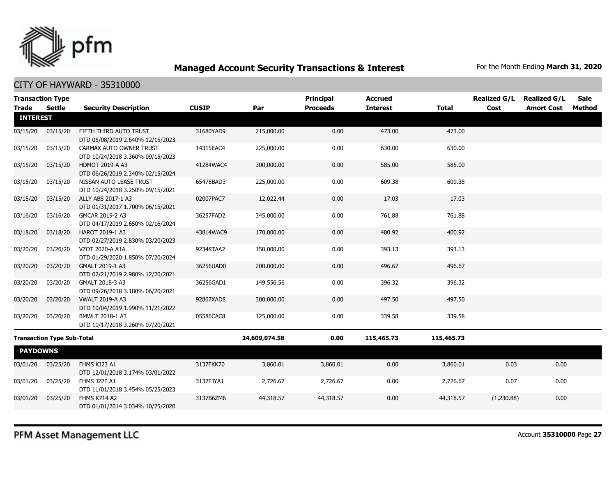

|                 | <b>Transaction Type</b>           |                                                             |              |               | <b>Principal</b> | <b>Accrued</b>  |              | <b>Realized G/L</b> | <b>Realized G/L</b> | <b>Sale</b> |
|-----------------|-----------------------------------|-------------------------------------------------------------|--------------|---------------|------------------|-----------------|--------------|---------------------|---------------------|-------------|
| <b>Trade</b>    | Settle                            | <b>Security Description</b>                                 | <b>CUSIP</b> | Par           | <b>Proceeds</b>  | <b>Interest</b> | <b>Total</b> | Cost                | <b>Amort Cost</b>   | Method      |
| <b>INTEREST</b> |                                   |                                                             |              |               |                  |                 |              |                     |                     |             |
| 03/15/20        | 03/15/20                          | FIFTH THIRD AUTO TRUST<br>DTD 05/08/2019 2.640% 12/15/2023  | 31680YAD9    | 215,000.00    | 0.00             | 473.00          | 473.00       |                     |                     |             |
| 03/15/20        | 03/15/20                          | CARMAX AUTO OWNER TRUST<br>DTD 10/24/2018 3.360% 09/15/2023 | 14315EAC4    | 225,000.00    | 0.00             | 630.00          | 630.00       |                     |                     |             |
| 03/15/20        | 03/15/20                          | <b>HDMOT 2019-A A3</b><br>DTD 06/26/2019 2.340% 02/15/2024  | 41284WAC4    | 300,000.00    | 0.00             | 585.00          | 585.00       |                     |                     |             |
| 03/15/20        | 03/15/20                          | NISSAN AUTO LEASE TRUST<br>DTD 10/24/2018 3.250% 09/15/2021 | 65478BAD3    | 225,000.00    | 0.00             | 609.38          | 609.38       |                     |                     |             |
| 03/15/20        | 03/15/20                          | ALLY ABS 2017-1 A3<br>DTD 01/31/2017 1.700% 06/15/2021      | 02007PAC7    | 12,022.44     | 0.00             | 17.03           | 17.03        |                     |                     |             |
| 03/16/20        | 03/16/20                          | GMCAR 2019-2 A3<br>DTD 04/17/2019 2.650% 02/16/2024         | 36257FAD2    | 345,000.00    | 0.00             | 761.88          | 761.88       |                     |                     |             |
| 03/18/20        | 03/18/20                          | HAROT 2019-1 A3<br>DTD 02/27/2019 2.830% 03/20/2023         | 43814WAC9    | 170,000.00    | 0.00             | 400.92          | 400.92       |                     |                     |             |
| 03/20/20        | 03/20/20                          | VZOT 2020-A A1A<br>DTD 01/29/2020 1.850% 07/20/2024         | 92348TAA2    | 150,000.00    | 0.00             | 393.13          | 393.13       |                     |                     |             |
| 03/20/20        | 03/20/20                          | GMALT 2019-1 A3<br>DTD 02/21/2019 2.980% 12/20/2021         | 36256UAD0    | 200,000.00    | 0.00             | 496.67          | 496.67       |                     |                     |             |
| 03/20/20        | 03/20/20                          | GMALT 2018-3 A3<br>DTD 09/26/2018 3.180% 06/20/2021         | 36256GAD1    | 149,556.56    | 0.00             | 396.32          | 396.32       |                     |                     |             |
| 03/20/20        | 03/20/20                          | <b>VWALT 2019-A A3</b><br>DTD 10/04/2019 1.990% 11/21/2022  | 92867XAD8    | 300,000.00    | 0.00             | 497.50          | 497.50       |                     |                     |             |
| 03/20/20        | 03/20/20                          | BMWLT 2018-1 A3<br>DTD 10/17/2018 3.260% 07/20/2021         | 05586CAC8    | 125,000.00    | 0.00             | 339.58          | 339.58       |                     |                     |             |
|                 | <b>Transaction Type Sub-Total</b> |                                                             |              | 24,609,074.58 | 0.00             | 115,465.73      | 115,465.73   |                     |                     |             |
| <b>PAYDOWNS</b> |                                   |                                                             |              |               |                  |                 |              |                     |                     |             |
| 03/01/20        | 03/25/20                          | FHMS KJ23 A1<br>DTD 12/01/2018 3.174% 03/01/2022            | 3137FKK70    | 3,860.01      | 3,860.01         | 0.00            | 3,860.01     | 0.03                | 0.00                |             |
| 03/01/20        | 03/25/20                          | <b>FHMS J22F A1</b><br>DTD 11/01/2018 3.454% 05/25/2023     | 3137FJYA1    | 2,726.67      | 2,726.67         | 0.00            | 2,726.67     | 0.07                | 0.00                |             |
| 03/01/20        | 03/25/20                          | FHMS K714 A2<br>DTD 01/01/2014 3.034% 10/25/2020            | 3137B6ZM6    | 44,318.57     | 44,318.57        | 0.00            | 44,318.57    | (1,230.88)          | 0.00                |             |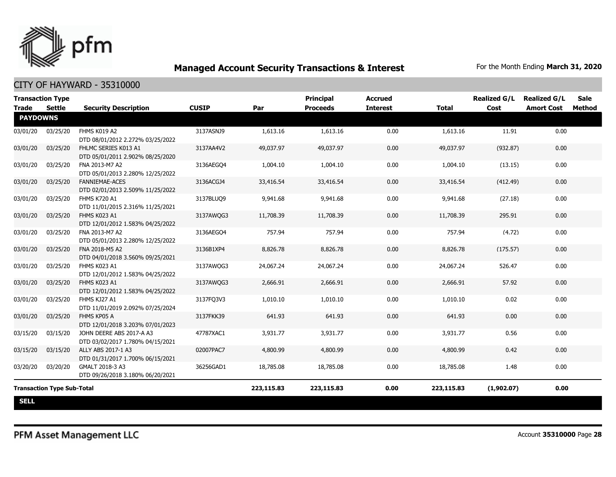

| <b>Transaction Type</b><br><b>Trade</b> | <b>Settle</b>                     | <b>Security Description</b>                                  | <b>CUSIP</b> | Par        | Principal<br><b>Proceeds</b> | <b>Accrued</b><br><b>Interest</b> | <b>Total</b> | <b>Realized G/L</b><br>Cost | <b>Realized G/L</b><br><b>Amort Cost</b> | <b>Sale</b><br><b>Method</b> |
|-----------------------------------------|-----------------------------------|--------------------------------------------------------------|--------------|------------|------------------------------|-----------------------------------|--------------|-----------------------------|------------------------------------------|------------------------------|
| <b>PAYDOWNS</b>                         |                                   |                                                              |              |            |                              |                                   |              |                             |                                          |                              |
| 03/01/20                                | 03/25/20                          | FHMS K019 A2<br>DTD 08/01/2012 2.272% 03/25/2022             | 3137ASNJ9    | 1,613.16   | 1,613.16                     | 0.00                              | 1,613.16     | 11.91                       | 0.00                                     |                              |
| 03/01/20                                | 03/25/20                          | FHLMC SERIES K013 A1<br>DTD 05/01/2011 2.902% 08/25/2020     | 3137AA4V2    | 49,037.97  | 49,037.97                    | 0.00                              | 49,037.97    | (932.87)                    | 0.00                                     |                              |
| 03/01/20                                | 03/25/20                          | FNA 2013-M7 A2<br>DTD 05/01/2013 2.280% 12/25/2022           | 3136AEGO4    | 1,004.10   | 1,004.10                     | 0.00                              | 1,004.10     | (13.15)                     | 0.00                                     |                              |
| 03/01/20                                | 03/25/20                          | <b>FANNIEMAE-ACES</b><br>DTD 02/01/2013 2.509% 11/25/2022    | 3136ACGJ4    | 33,416.54  | 33,416.54                    | 0.00                              | 33,416.54    | (412.49)                    | 0.00                                     |                              |
| 03/01/20                                | 03/25/20                          | <b>FHMS K720 A1</b><br>DTD 11/01/2015 2.316% 11/25/2021      | 3137BLUQ9    | 9,941.68   | 9,941.68                     | 0.00                              | 9,941.68     | (27.18)                     | 0.00                                     |                              |
| 03/01/20                                | 03/25/20                          | FHMS K023 A1<br>DTD 12/01/2012 1.583% 04/25/2022             | 3137AWQG3    | 11,708.39  | 11,708.39                    | 0.00                              | 11,708.39    | 295.91                      | 0.00                                     |                              |
| 03/01/20                                | 03/25/20                          | FNA 2013-M7 A2<br>DTD 05/01/2013 2.280% 12/25/2022           | 3136AEGO4    | 757.94     | 757.94                       | 0.00                              | 757.94       | (4.72)                      | 0.00                                     |                              |
| 03/01/20                                | 03/25/20                          | FNA 2018-M5 A2<br>DTD 04/01/2018 3.560% 09/25/2021           | 3136B1XP4    | 8,826.78   | 8,826.78                     | 0.00                              | 8,826.78     | (175.57)                    | 0.00                                     |                              |
| 03/01/20                                | 03/25/20                          | FHMS K023 A1<br>DTD 12/01/2012 1.583% 04/25/2022             | 3137AWQG3    | 24,067.24  | 24,067.24                    | 0.00                              | 24,067.24    | 526.47                      | 0.00                                     |                              |
| 03/01/20                                | 03/25/20                          | FHMS K023 A1<br>DTD 12/01/2012 1.583% 04/25/2022             | 3137AWQG3    | 2,666.91   | 2,666.91                     | 0.00                              | 2,666.91     | 57.92                       | 0.00                                     |                              |
| 03/01/20                                | 03/25/20                          | FHMS KJ27 A1<br>DTD 11/01/2019 2.092% 07/25/2024             | 3137FQ3V3    | 1,010.10   | 1,010.10                     | 0.00                              | 1,010.10     | 0.02                        | 0.00                                     |                              |
| 03/01/20                                | 03/25/20                          | FHMS KP05 A<br>DTD 12/01/2018 3.203% 07/01/2023              | 3137FKK39    | 641.93     | 641.93                       | 0.00                              | 641.93       | 0.00                        | 0.00                                     |                              |
| 03/15/20                                | 03/15/20                          | JOHN DEERE ABS 2017-A A3<br>DTD 03/02/2017 1.780% 04/15/2021 | 47787XAC1    | 3,931.77   | 3,931.77                     | 0.00                              | 3,931.77     | 0.56                        | 0.00                                     |                              |
| 03/15/20                                | 03/15/20                          | ALLY ABS 2017-1 A3<br>DTD 01/31/2017 1.700% 06/15/2021       | 02007PAC7    | 4,800.99   | 4,800.99                     | 0.00                              | 4,800.99     | 0.42                        | 0.00                                     |                              |
| 03/20/20                                | 03/20/20                          | GMALT 2018-3 A3<br>DTD 09/26/2018 3.180% 06/20/2021          | 36256GAD1    | 18,785.08  | 18,785.08                    | 0.00                              | 18,785.08    | 1.48                        | 0.00                                     |                              |
|                                         | <b>Transaction Type Sub-Total</b> |                                                              |              | 223,115.83 | 223,115.83                   | 0.00                              | 223,115.83   | (1,902.07)                  | 0.00                                     |                              |
| <b>SELL</b>                             |                                   |                                                              |              |            |                              |                                   |              |                             |                                          |                              |